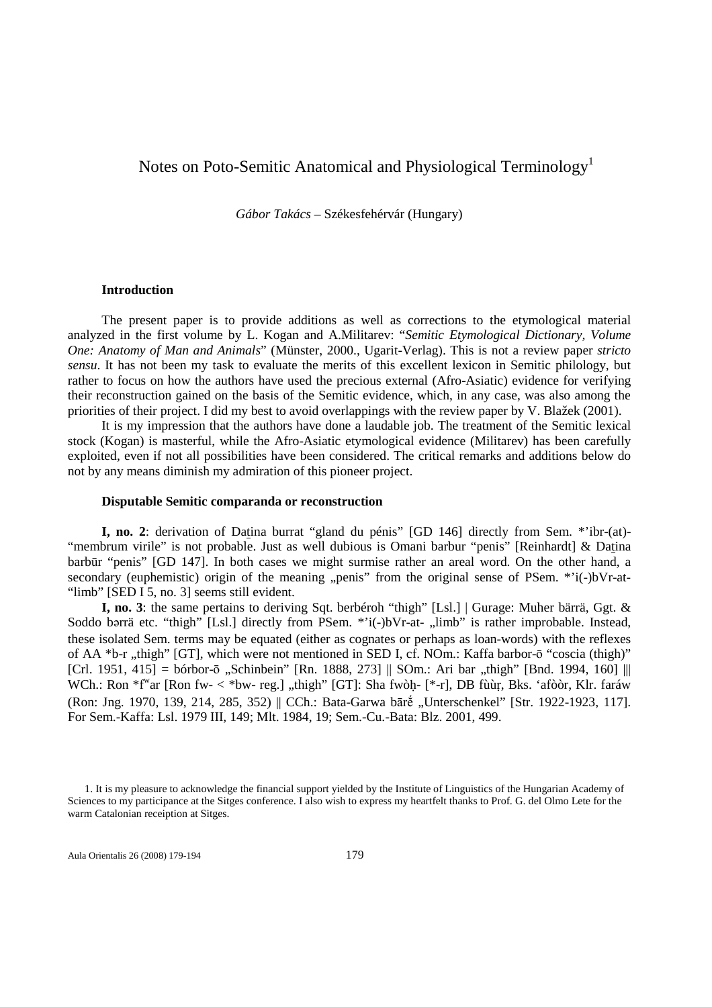# Notes on Poto-Semitic Anatomical and Physiological Terminology<sup>1</sup>

*Gábor Takács* – Székesfehérvár (Hungary)

#### **Introduction**

The present paper is to provide additions as well as corrections to the etymological material analyzed in the first volume by L. Kogan and A.Militarev: "*Semitic Etymological Dictionary, Volume One: Anatomy of Man and Animals*" (Münster, 2000., Ugarit-Verlag). This is not a review paper *stricto sensu*. It has not been my task to evaluate the merits of this excellent lexicon in Semitic philology, but rather to focus on how the authors have used the precious external (Afro-Asiatic) evidence for verifying their reconstruction gained on the basis of the Semitic evidence, which, in any case, was also among the priorities of their project. I did my best to avoid overlappings with the review paper by V. Blažek (2001).

It is my impression that the authors have done a laudable job. The treatment of the Semitic lexical stock (Kogan) is masterful, while the Afro-Asiatic etymological evidence (Militarev) has been carefully exploited, even if not all possibilities have been considered. The critical remarks and additions below do not by any means diminish my admiration of this pioneer project.

#### **Disputable Semitic comparanda or reconstruction**

**I, no. 2**: derivation of Datina burrat "gland du pénis" [GD 146] directly from Sem. \*'ibr-(at)- "membrum virile" is not probable. Just as well dubious is Omani barbur "penis" [Reinhardt] & Datina barbūr "penis" [GD 147]. In both cases we might surmise rather an areal word. On the other hand, a secondary (euphemistic) origin of the meaning "penis" from the original sense of PSem. \*'i(-)bVr-at-"limb" [SED I 5, no. 3] seems still evident.

**I, no. 3**: the same pertains to deriving Sqt. berbéroh "thigh" [Lsl.] | Gurage: Muher bärrä, Ggt. & Soddo barrä etc. "thigh" [Lsl.] directly from PSem. \*'i(-)bVr-at- "limb" is rather improbable. Instead, these isolated Sem. terms may be equated (either as cognates or perhaps as loan-words) with the reflexes of AA \*b-r "thigh" [GT], which were not mentioned in SED I, cf. NOm.: Kaffa barbor-ō "coscia (thigh)"  $[Cr1. 1951, 415] = b$ órbor-ō "Schinbein" [Rn. 1888, 273] || SOm.: Ari bar "thigh" [Bnd. 1994, 160] ||| WCh.: Ron \*f<sup>w</sup>ar [Ron fw- < \*bw- reg.] "thigh" [GT]: Sha fwòḥ- [\*-r], DB fùùr, Bks. 'afòòr, Klr. faráw (Ron: Jng. 1970, 139, 214, 285, 352) || CCh.: Bata-Garwa bāre, "Unterschenkel" [Str. 1922-1923, 117]. For Sem.-Kaffa: Lsl. 1979 III, 149; Mlt. 1984, 19; Sem.-Cu.-Bata: Blz. 2001, 499.

Aula Orientalis 26 (2008) 179-194 179

<sup>1.</sup> It is my pleasure to acknowledge the financial support yielded by the Institute of Linguistics of the Hungarian Academy of Sciences to my participance at the Sitges conference. I also wish to express my heartfelt thanks to Prof. G. del Olmo Lete for the warm Catalonian receiption at Sitges.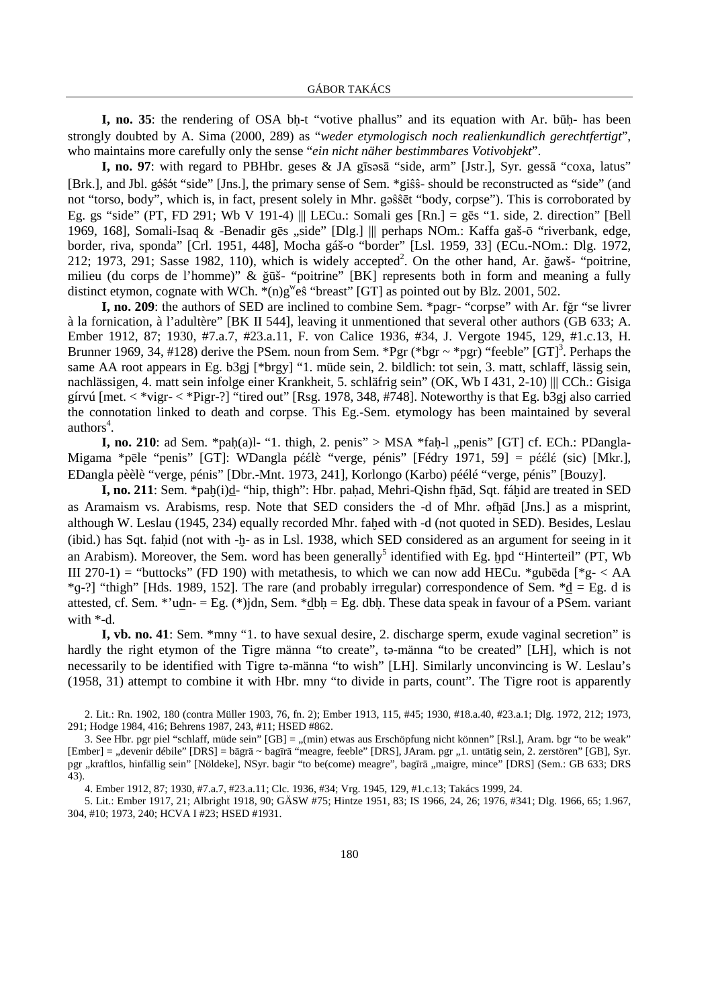**I, no. 35**: the rendering of OSA bh-t "votive phallus" and its equation with Ar. būh- has been strongly doubted by A. Sima (2000, 289) as "*weder etymologisch noch realienkundlich gerechtfertigt*", who maintains more carefully only the sense "*ein nicht näher bestimmbares Votivobjekt*".

I, no. 97: with regard to PBHbr. geses & JA gīsəsā "side, arm" [Jstr.], Syr. gessā "coxa, latus" [Brk.], and Jbl. gêŝêt "side" [Jns.], the primary sense of Sem. \*giŝŝ- should be reconstructed as "side" (and not "torso, body", which is, in fact, present solely in Mhr. g $\hat{s}$ s set "body, corpse"). This is corroborated by Eg. gs "side" (PT, FD 291; Wb V 191-4) ||| LECu.: Somali ges  $[Rn] = g\bar{e}s$  "1. side, 2. direction" [Bell 1969, 168], Somali-Isaq & -Benadir gēs "side" [Dlg.] ||| perhaps NOm.: Kaffa gaš-ō "riverbank, edge, border, riva, sponda" [Crl. 1951, 448], Mocha gáš-o "border" [Lsl. 1959, 33] (ECu.-NOm.: Dlg. 1972, 212; 1973, 291; Sasse 1982, 110), which is widely accepted<sup>2</sup>. On the other hand, Ar. ğawš- "poitrine, milieu (du corps de l'homme)" & ğūš- "poitrine" [BK] represents both in form and meaning a fully distinct etymon, cognate with WCh.  $*(n)g^w \hat{e}\hat{s}$  "breast" [GT] as pointed out by Blz. 2001, 502.

**I, no. 209**: the authors of SED are inclined to combine Sem. \*pagr- "corpse" with Ar. fğr "se livrer à la fornication, à l'adultère" [BK II 544], leaving it unmentioned that several other authors (GB 633; A. Ember 1912, 87; 1930, #7.a.7, #23.a.11, F. von Calice 1936, #34, J. Vergote 1945, 129, #1.c.13, H. Brunner 1969, 34, #128) derive the PSem. noun from Sem. \*Pgr (\*bgr ~ \*pgr) "feeble" [GT]<sup>3</sup>. Perhaps the same AA root appears in Eg. b3gj [\*brgy] "1. müde sein, 2. bildlich: tot sein, 3. matt, schlaff, lässig sein, nachlässigen, 4. matt sein infolge einer Krankheit, 5. schläfrig sein" (OK, Wb I 431, 2-10) ||| CCh.: Gisiga gírvú  $[$ met.  $\langle$  \*vigr- $\langle$  \*Pigr-?] "tired out"  $[$ Rsg. 1978, 348, #748]. Noteworthy is that Eg. b3gj also carried the connotation linked to death and corpse. This Eg.-Sem. etymology has been maintained by several authors<sup>4</sup>.

**I, no. 210**: ad Sem. \*pah(a)l- "1. thigh, 2. penis" > MSA \*fah-l ., penis" [GT] cf. ECh.: PDangla-Migama \*pēle "penis" [GT]: WDangla péélè "verge, pénis" [Fédry 1971, 59] = péélé (sic) [Mkr.], EDangla pèèlè "verge, pénis" [Dbr.-Mnt. 1973, 241], Korlongo (Karbo) péélé "verge, pénis" [Bouzy].

**I, no. 211**: Sem. \*pah(i)d- "hip, thigh": Hbr. pahad, Mehri-Qishn fhād, Sqt. fáhid are treated in SED as Aramaism vs. Arabisms, resp. Note that SED considers the -d of Mhr.  $\sigma$ fhad [Jns.] as a misprint, although W. Leslau (1945, 234) equally recorded Mhr. fahed with -d (not quoted in SED). Besides, Leslau (ibid.) has Sqt. fahid (not with -h- as in Lsl. 1938, which SED considered as an argument for seeing in it an Arabism). Moreover, the Sem. word has been generally<sup>5</sup> identified with Eg. hpd "Hinterteil" (PT, Wb III 270-1) = "buttocks" (FD 190) with metathesis, to which we can now add HECu. \*gubeda [\*g- < AA  $*q-$ ?] "thigh" [Hds. 1989, 152]. The rare (and probably irregular) correspondence of Sem.  $*d = Eg$ . d is attested, cf. Sem. \*'udn- = Eg. (\*)jdn, Sem. \*dbh = Eg. dbh. These data speak in favour of a PSem. variant with \*-d.

**I, vb. no. 41**: Sem. \*mny "1. to have sexual desire, 2. discharge sperm, exude vaginal secretion" is hardly the right etymon of the Tigre männa "to create", ta-männa "to be created" [LH], which is not necessarily to be identified with Tigre tə-männa "to wish" [LH]. Similarly unconvincing is W. Leslau's (1958, 31) attempt to combine it with Hbr. mny "to divide in parts, count". The Tigre root is apparently

2. Lit.: Rn. 1902, 180 (contra Müller 1903, 76, fn. 2); Ember 1913, 115, #45; 1930, #18.a.40, #23.a.1; Dlg. 1972, 212; 1973, 291; Hodge 1984, 416; Behrens 1987, 243, #11; HSED #862.

4. Ember 1912, 87; 1930, #7.a.7, #23.a.11; Clc. 1936, #34; Vrg. 1945, 129, #1.c.13; Takács 1999, 24.

5. Lit.: Ember 1917, 21; Albright 1918, 90; GÄSW #75; Hintze 1951, 83; IS 1966, 24, 26; 1976, #341; Dlg. 1966, 65; 1.967, 304, #10; 1973, 240; HCVA I #23; HSED #1931.

<sup>3.</sup> See Hbr. pgr piel "schlaff, müde sein" [GB] = "(min) etwas aus Erschöpfung nicht können" [Rsl.], Aram. bgr "to be weak" [Ember] = "devenir débile" [DRS] = bāgrā ~ bagīrā "meagre, feeble" [DRS], JAram. pgr "1. untätig sein, 2. zerstören" [GB], Syr. pgr "kraftlos, hinfällig sein" [Nöldeke], NSyr. bagir "to be(come) meagre", bagīrā "maigre, mince" [DRS] (Sem.: GB 633; DRS 43).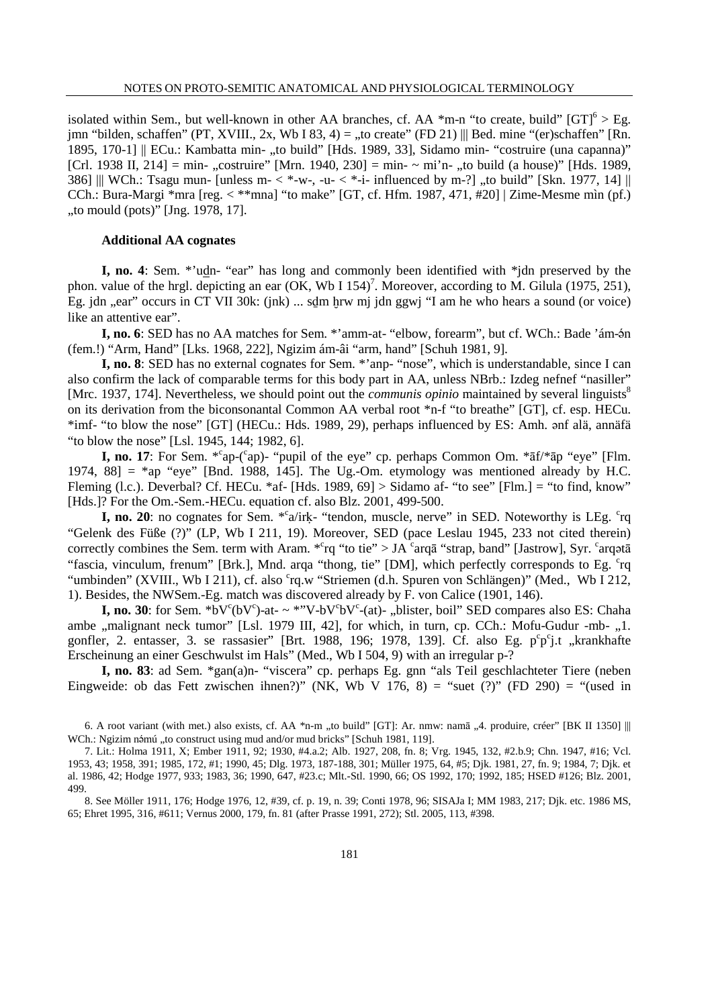isolated within Sem., but well-known in other AA branches, cf. AA  $*$ m-n "to create, build" [GT]<sup>6</sup> > Eg. jmn "bilden, schaffen" (PT, XVIII., 2x, Wb I 83, 4) = "to create" (FD 21) ||| Bed. mine "(er)schaffen" [Rn. 1895, 170-1] || ECu.: Kambatta min- "to build" [Hds. 1989, 33], Sidamo min- "costruire (una capanna)" [Crl. 1938 II, 214] = min- "costruire" [Mrn. 1940, 230] = min-  $\sim$  mi'n- "to build (a house)" [Hds. 1989, 386] ||| WCh.: Tsagu mun- [unless m-  $\lt^*$ -w-, -u-  $\lt^*$ -i- influenced by m-?] "to build" [Skn. 1977, 14] || CCh.: Bura-Margi \*mra [reg. < \*\*mna] "to make" [GT, cf. Hfm. 1987, 471, #20] | Zime-Mesme mìn (pf.)  $\mu$ to mould (pots)" [Jng. 1978, 17].

## **Additional AA cognates**

**I, no. 4**: Sem. \*'udn- "ear" has long and commonly been identified with \*jdn preserved by the phon. value of the hrgl. depicting an ear  $(OK, Wb I 154)^7$ . Moreover, according to M. Gilula (1975, 251), Eg. jdn "ear" occurs in CT VII 30k: (jnk) ... sdm hrw mj jdn ggwj "I am he who hears a sound (or voice) like an attentive ear".

**I, no. 6**: SED has no AA matches for Sem. \*'amm-at- "elbow, forearm", but cf. WCh.: Bade 'ám-ên (fem.!) "Arm, Hand" [Lks. 1968, 222], Ngizim ám-âi "arm, hand" [Schuh 1981, 9].

**I, no. 8**: SED has no external cognates for Sem. \*'anp- "nose", which is understandable, since I can also confirm the lack of comparable terms for this body part in AA, unless NBrb.: Izdeg nefnef "nasiller" [Mrc. 1937, 174]. Nevertheless, we should point out the *communis opinio* maintained by several linguists<sup>8</sup> on its derivation from the biconsonantal Common AA verbal root \*n-f "to breathe" [GT], cf. esp. HECu. \*imf- "to blow the nose" [GT] (HECu.: Hds. 1989, 29), perhaps influenced by ES: Amh. anf alä, annäfä "to blow the nose" [Lsl. 1945, 144; 1982, 6].

**I, no. 17**: For Sem. \*<sup>c</sup>ap-(<sup>c</sup>ap)- "pupil of the eye" cp. perhaps Common Om. \*āf/\*āp "eye" [Flm. 1974,  $88$ ] = \*ap "eye" [Bnd. 1988, 145]. The Ug.-Om. etymology was mentioned already by H.C. Fleming (l.c.). Deverbal? Cf. HECu. \*af- [Hds. 1989, 69]  $>$  Sidamo af- "to see" [Flm.] = "to find, know" [Hds.]? For the Om.-Sem.-HECu. equation cf. also Blz. 2001, 499-500.

**I, no. 20**: no cognates for Sem. \* <sup>c</sup>a/irk- "tendon, muscle, nerve" in SED. Noteworthy is LEg. <sup>c</sup>rq "Gelenk des Füße (?)" (LP, Wb I 211, 19). Moreover, SED (pace Leslau 1945, 233 not cited therein) correctly combines the Sem. term with Aram.  ${}^{*c}$ rq "to tie" > JA  ${}^{c}$ arqā "strap, band" [Jastrow], Syr.  ${}^{c}$ arqatā "fascia, vinculum, frenum" [Brk.], Mnd. arqa "thong, tie" [DM], which perfectly corresponds to Eg. 'rq "umbinden" (XVIII., Wb I 211), cf. also 'rq.w "Striemen (d.h. Spuren von Schlängen)" (Med., Wb I 212, 1). Besides, the NWSem.-Eg. match was discovered already by F. von Calice (1901, 146).

**I, no. 30**: for Sem. \*bV<sup>c</sup>(bV<sup>c</sup>)-at- ~ \*"V-bV<sup>c</sup>bV<sup>c</sup>-(at)-, blister, boil" SED compares also ES: Chaha ambe "malignant neck tumor" [Lsl. 1979 III, 42], for which, in turn, cp. CCh.: Mofu-Gudur -mb- "1. gonfler, 2. entasser, 3. se rassasier" [Brt. 1988, 196; 1978, 139]. Cf. also Eg. p°p°j.t "krankhafte Erscheinung an einer Geschwulst im Hals" (Med., Wb I 504, 9) with an irregular p-?

**I, no. 83**: ad Sem. \*gan(a)n- "viscera" cp. perhaps Eg. gnn "als Teil geschlachteter Tiere (neben Eingweide: ob das Fett zwischen ihnen?)" (NK, Wb V 176, 8) = "suet (?)" (FD 290) = "(used in

<sup>6.</sup> A root variant (with met.) also exists, cf. AA  $*_{n-m}$ , to build" [GT]: Ar. nmw: namā , 4. produire, créer" [BK II 1350]  $||$ WCh.: Ngizim némú "to construct using mud and/or mud bricks" [Schuh 1981, 119].

<sup>7.</sup> Lit.: Holma 1911, X; Ember 1911, 92; 1930, #4.a.2; Alb. 1927, 208, fn. 8; Vrg. 1945, 132, #2.b.9; Chn. 1947, #16; Vcl. 1953, 43; 1958, 391; 1985, 172, #1; 1990, 45; Dlg. 1973, 187-188, 301; Müller 1975, 64, #5; Djk. 1981, 27, fn. 9; 1984, 7; Djk. et al. 1986, 42; Hodge 1977, 933; 1983, 36; 1990, 647, #23.c; Mlt.-Stl. 1990, 66; OS 1992, 170; 1992, 185; HSED #126; Blz. 2001, 499.

<sup>8.</sup> See Möller 1911, 176; Hodge 1976, 12, #39, cf. p. 19, n. 39; Conti 1978, 96; SISAJa I; MM 1983, 217; Djk. etc. 1986 MS, 65; Ehret 1995, 316, #611; Vernus 2000, 179, fn. 81 (after Prasse 1991, 272); Stl. 2005, 113, #398.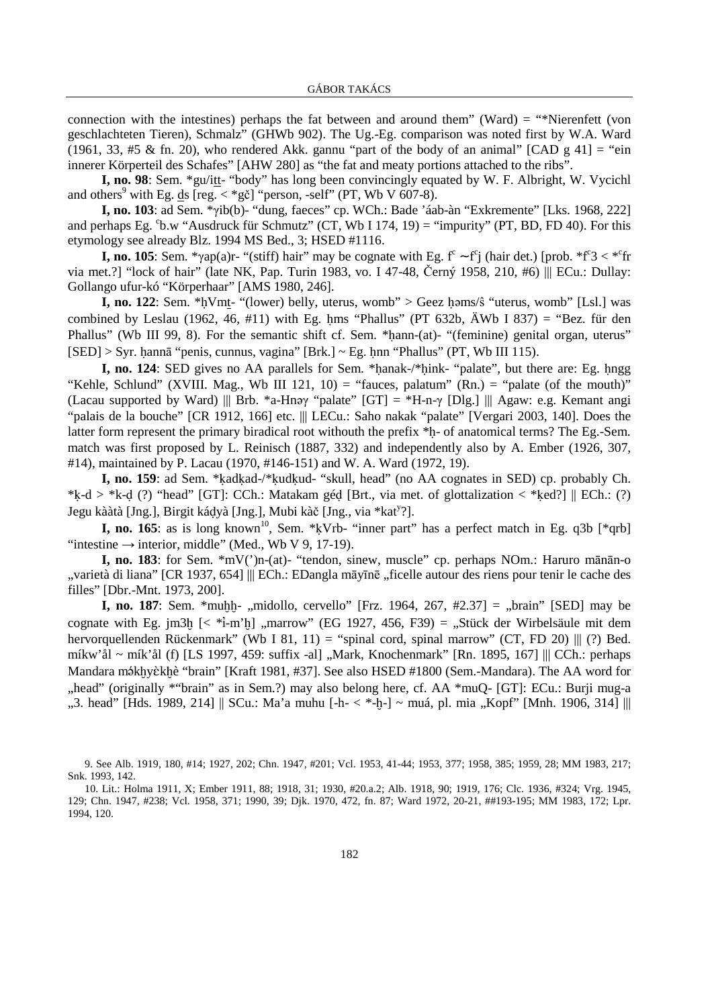connection with the intestines) perhaps the fat between and around them" (Ward) = "\*Nierenfett (von geschlachteten Tieren), Schmalz" (GHWb 902). The Ug.-Eg. comparison was noted first by W.A. Ward (1961, 33, #5 & fn. 20), who rendered Akk. gannu "part of the body of an animal" [CAD g 41] = "ein innerer Körperteil des Schafes" [AHW 280] as "the fat and meaty portions attached to the ribs".

**I, no. 98**: Sem. \*gu/itt- "body" has long been convincingly equated by W. F. Albright, W. Vycichl and others<sup>9</sup> with Eg. <u>ds</u> [reg.  $\lt^*$ gč] "person, -self" (PT, Wb V 607-8).

**I, no. 103**: ad Sem. \*γib(b)- "dung, faeces" cp. WCh.: Bade 'áab-àn "Exkremente" [Lks. 1968, 222] and perhaps Eg.  $\text{b.w}$  "Ausdruck für Schmutz" (CT, Wb I 174, 19) = "impurity" (PT, BD, FD 40). For this etymology see already Blz. 1994 MS Bed., 3; HSED #1116.

**I, no. 105**: Sem. \*γap(a)r- "(stiff) hair" may be cognate with Eg.  $f^c$  ~  $f^c$ j (hair det.) [prob. \* $f^c$ 3 < \* $c$ fr via met.?] "lock of hair" (late NK, Pap. Turin 1983, vo. I 47-48, Černý 1958, 210, #6) ||| ECu.: Dullay: Gollango ufur-kó "Körperhaar" [AMS 1980, 246].

**I, no. 122**: Sem. \*hVmt- "(lower) belly, uterus, womb" > Geez hams/ŝ "uterus, womb" [Lsl.] was combined by Leslau (1962, 46, #11) with Eg. hms "Phallus" (PT 632b,  $\ddot{A}Wb$  I 837) = "Bez. für den Phallus" (Wb III 99, 8). For the semantic shift cf. Sem. \*hann-(at)- "(feminine) genital organ, uterus"  $|SED| > Syr$ . hannā "penis, cunnus, vagina" [Brk.] ~ Eg. hnn "Phallus" (PT, Wb III 115).

**I, no. 124**: SED gives no AA parallels for Sem. \*hanak-/\*hink- "palate", but there are: Eg. hngg "Kehle, Schlund" (XVIII. Mag., Wb III 121, 10) = "fauces, palatum" (Rn.) = "palate (of the mouth)" (Lacau supported by Ward) ||| Brb. \*a-Hn $\gamma$  "palate" [GT] = \*H-n- $\gamma$  [Dlg.] ||| Agaw: e.g. Kemant angi "palais de la bouche" [CR 1912, 166] etc. ||| LECu.: Saho nakak "palate" [Vergari 2003, 140]. Does the latter form represent the primary biradical root withouth the prefix \*h- of anatomical terms? The Eg.-Sem. match was first proposed by L. Reinisch (1887, 332) and independently also by A. Ember (1926, 307, #14), maintained by P. Lacau (1970, #146-151) and W. A. Ward (1972, 19).

**I, no. 159**: ad Sem. \*kadkad-/\*kudkud- "skull, head" (no AA cognates in SED) cp. probably Ch. \*k-d > \*k-d (?) "head" [GT]: CCh.: Matakam géd [Brt., via met. of glottalization < \*ked?]  $\parallel$  ECh.: (?) Jegu kààtà [Jng.], Birgit káḍyà [Jng.], Mubi kàč [Jng., via \*kat<sup>y</sup>?].

**I, no. 165**: as is long known<sup>10</sup>, Sem. \*kVrb- "inner part" has a perfect match in Eg. q3b [\*qrb] "intestine  $\rightarrow$  interior, middle" (Med., Wb V 9, 17-19).

**I, no. 183**: for Sem. \*mV(')n-(at)- "tendon, sinew, muscle" cp. perhaps NOm.: Haruro mānān-o "varietà di liana" [CR 1937, 654] ||| ECh.: EDangla māyīnē "ficelle autour des riens pour tenir le cache des filles" [Dbr.-Mnt. 1973, 200].

**I, no. 187**: Sem. \*muhh-, midollo, cervello" [Frz. 1964, 267, #2.37] = "brain" [SED] may be cognate with Eg. jm3h  $\leq$  \*i-m'h], marrow" (EG 1927, 456, F39) = "Stück der Wirbelsäule mit dem hervorquellenden Rückenmark" (Wb I 81, 11) = "spinal cord, spinal marrow" (CT, FD 20)  $|||$  (?) Bed. míkw'ål ~ mík'ål (f) [LS 1997, 459: suffix -al] "Mark, Knochenmark" [Rn. 1895, 167] ||| CCh.: perhaps Mandara mékhyèkhè "brain" [Kraft 1981, #37]. See also HSED #1800 (Sem.-Mandara). The AA word for head" (originally \*"brain" as in Sem.?) may also belong here, cf. AA \*muO- [GT]: ECu.: Burii mug-a. "3. head" [Hds. 1989, 214] || SCu.: Ma'a muhu [-h- < \*-h-] ~ muá, pl. mia "Kopf" [Mnh. 1906, 314] |||

<sup>9.</sup> See Alb. 1919, 180, #14; 1927, 202; Chn. 1947, #201; Vcl. 1953, 41-44; 1953, 377; 1958, 385; 1959, 28; MM 1983, 217; Snk. 1993, 142.

<sup>10.</sup> Lit.: Holma 1911, X; Ember 1911, 88; 1918, 31; 1930, #20.a.2; Alb. 1918, 90; 1919, 176; Clc. 1936, #324; Vrg. 1945, 129; Chn. 1947, #238; Vcl. 1958, 371; 1990, 39; Djk. 1970, 472, fn. 87; Ward 1972, 20-21, ##193-195; MM 1983, 172; Lpr. 1994, 120.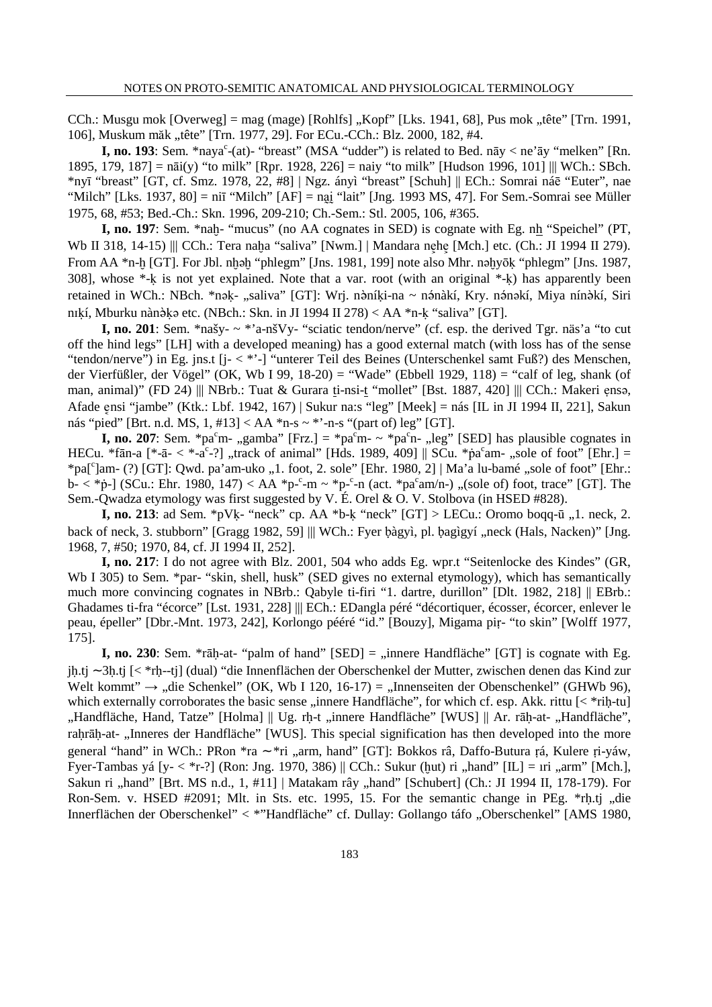CCh.: Musgu mok  $[Overweg] = mag$  (mage)  $[Rohlfs]$  "Kopf"  $[Lks. 1941, 68]$ , Pus mok "tête"  $[Trn. 1991, 1991]$ 106], Muskum măk "tête" [Trn. 1977, 29]. For ECu.-CCh.: Blz. 2000, 182, #4.

**I, no. 193**: Sem. \*naya<sup>c</sup>-(at)- "breast" (MSA "udder") is related to Bed. nāy < ne'āy "melken" [Rn. 1895, 179, 187] = nāi(y) "to milk" [Rpr. 1928, 226] = naiy "to milk" [Hudson 1996, 101] ||| WCh.: SBch. \*nyī "breast" [GT, cf. Smz. 1978, 22, #8] | Ngz. ányì "breast" [Schuh] || ECh.: Somrai náē "Euter", nae "Milch" [Lks. 1937, 80] = niī "Milch" [AF] = nai "lait" [Jng. 1993 MS, 47]. For Sem.-Somrai see Müller 1975, 68, #53; Bed.-Ch.: Skn. 1996, 209-210; Ch.-Sem.: Stl. 2005, 106, #365.

**I, no. 197**: Sem. \*nah- "mucus" (no AA cognates in SED) is cognate with Eg. nh "Speichel" (PT, Wb II 318, 14-15) ||| CCh.: Tera naḥa "saliva" [Nwm.] | Mandara nẹhẹ [Mch.] etc. (Ch.: JI 1994 II 279). From AA \*n- $\frac{1}{2}$  [GT]. For Jbl. n $\frac{1}{2}$  mehegm" [Jns. 1981, 199] note also Mhr. na $\frac{1}{2}$ yōk "phlegm" [Jns. 1987, 308], whose  $*$ -k is not yet explained. Note that a var. root (with an original  $*$ -k) has apparently been retained in WCh.: NBch. \*nak- "saliva" [GT]: Wrj. nàníki-na ~ nánàkí, Kry. nánakí, Miya nínàkí, Siri nɪkí, Mburku nànə̀kə etc. (NBch.: Skn. in JI 1994 II 278)  $\lt$  AA \*n-k "saliva" [GT].

**I, no. 201**: Sem. \*našy- ~ \*'a-nšVy- "sciatic tendon/nerve" (cf. esp. the derived Tgr. näs'a "to cut off the hind legs" [LH] with a developed meaning) has a good external match (with loss has of the sense "tendon/nerve") in Eg. jns.t [j- < \*'-] "unterer Teil des Beines (Unterschenkel samt Fuß?) des Menschen, der Vierfüßler, der Vögel" (OK, Wb I 99, 18-20) = "Wade" (Ebbell 1929, 118) = "calf of leg, shank (of man, animal)" (FD 24) ||| NBrb.: Tuat & Gurara ti-nsi-t "mollet" [Bst. 1887, 420] ||| CCh.: Makeri ensa, Afade znsi "jambe" (Ktk.: Lbf. 1942, 167) | Sukur na:s "leg" [Meek] = nás [IL in JI 1994 II, 221], Sakun nás "pied" [Brt. n.d. MS,  $1, \text{\#}13$ ] < AA \*n-s ~ \*'-n-s "(part of) leg" [GT].

**I, no. 207**: Sem. \*pa<sup>c</sup>m- .,gamba" [Frz.] = \*pa<sup>c</sup>m- ~ \*pa<sup>c</sup>n- .,leg" [SED] has plausible cognates in HECu. \*fān-a  $[$ \*-ā-  $\langle$  \*-ā<sup>c</sup>-?], track of animal" [Hds. 1989, 409] || SCu. \*p̄a<sup>c</sup>am-, sole of foot" [Ehr.] = \*pa[<sup>c</sup>]am- (?) [GT]: Qwd. pa'am-uko "1. foot, 2. sole" [Ehr. 1980, 2] | Ma'a lu-bamé "sole of foot" [Ehr.:  $\bar{b}$  < \*p-] (SCu.: Ehr. 1980, 147) < AA \*p-°-m ~ \*p-°-n (act. \*pa°am/n-) "(sole of) foot, trace" [GT]. The Sem.-Qwadza etymology was first suggested by V. É. Orel & O. V. Stolbova (in HSED #828).

**I, no. 213**: ad Sem. \*pVk- "neck" cp. AA \*b-k "neck"  $|GT|$  > LECu.: Oromo boqq- $\bar{u}$ ,  $\bar{u}$ . neck, 2. back of neck, 3. stubborn" [Gragg 1982, 59] ||| WCh.: Fyer bàgyì, pl. bagìgyí "neck (Hals, Nacken)" [Jng. 1968, 7, #50; 1970, 84, cf. JI 1994 II, 252].

**I, no. 217**: I do not agree with Blz. 2001, 504 who adds Eg. wpr.t "Seitenlocke des Kindes" (GR, Wb I 305) to Sem. \*par- "skin, shell, husk" (SED gives no external etymology), which has semantically much more convincing cognates in NBrb.: Qabyle ti-firi "1. dartre, durillon" [Dlt. 1982, 218] || EBrb.: Ghadames ti-fra "écorce" [Lst. 1931, 228] ||| ECh.: EDangla péré "décortiquer, écosser, écorcer, enlever le peau, épeller" [Dbr.-Mnt. 1973, 242], Korlongo pééré "id." [Bouzy], Migama piṛ- "to skin" [Wolff 1977, 175].

**I, no. 230**: Sem. \*rāḥ-at- "palm of hand"  $[SED] =$  "innere Handfläche"  $[GT]$  is cognate with Eg. jú.tj ∼ 3ú.tj [< \*rḥ--tj] (dual) "die Innenflächen der Oberschenkel der Mutter, zwischen denen das Kind zur Welt kommt"  $\rightarrow$  "die Schenkel" (OK, Wb I 120, 16-17) = "Innenseiten der Obenschenkel" (GHWb 96), which externally corroborates the basic sense "innere Handfläche", for which cf. esp. Akk. rittu [< \*rih-tu] "Handfläche, Hand, Tatze" [Holma] || Ug. rh-t "innere Handfläche" [WUS] || Ar. rāh-at- "Handfläche", rahrāh-at- "Inneres der Handfläche" [WUS]. This special signification has then developed into the more general "hand" in WCh.: PRon \*ra ∼ \*ri "arm, hand" [GT]: Bokkos râ, Daffo-Butura rá, Kulere ri-yáw, Fyer-Tambas yá [y- < \*r-?] (Ron: Jng. 1970, 386) || CCh.: Sukur (hut) ri "hand" [IL] = ıri "arm" [Mch.], Sakun ri "hand" [Brt. MS n.d., 1, #11] | Matakam rây "hand" [Schubert] (Ch.: JI 1994 II, 178-179). For Ron-Sem. v. HSED #2091; Mlt. in Sts. etc. 1995, 15. For the semantic change in PEg. \*rh.tj "die Innerflächen der Oberschenkel" < \*"Handfläche" cf. Dullay: Gollango táfo "Oberschenkel" [AMS 1980,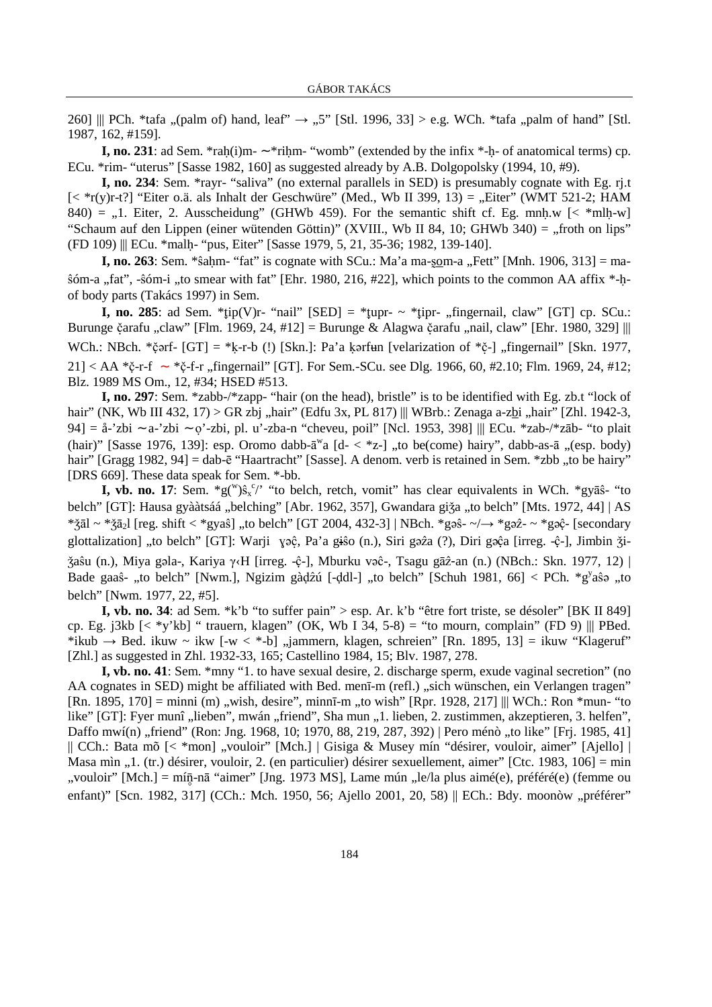260] || PCh. \*tafa "(palm of) hand, leaf"  $\rightarrow$  "5" [Stl. 1996, 33] > e.g. WCh. \*tafa "palm of hand" [Stl. 1987, 162, #159].

**I, no. 231**: ad Sem. \*rah(i)m- ∼ \*rihm- "womb" (extended by the infix \*-h- of anatomical terms) cp. ECu. \*rim- "uterus" [Sasse 1982, 160] as suggested already by A.B. Dolgopolsky (1994, 10, #9).

**I, no. 234**: Sem. \*rayr- "saliva" (no external parallels in SED) is presumably cognate with Eg. rj.t  $\leq$  \*r(y)r-t?] "Eiter o.ä. als Inhalt der Geschwüre" (Med., Wb II 399, 13) = "Eiter" (WMT 521-2; HAM 840) = ,,1. Eiter, 2. Ausscheidung" (GHWb 459). For the semantic shift cf. Eg. mnh.w  $\leq$  \*mlh-w] "Schaum auf den Lippen (einer wütenden Göttin)" (XVIII., Wb II 84, 10; GHWb 340) = "froth on lips" (FD 109) ||| ECu. \*malú- "pus, Eiter" [Sasse 1979, 5, 21, 35-36; 1982, 139-140].

**I, no. 263**: Sem. \*ŝahm- "fat" is cognate with SCu.: Ma'a ma-som-a "Fett" [Mnh. 1906, 313] = ma- $\delta$ óm-a "fat", - $\delta$ óm-i "to smear with fat" [Ehr. 1980, 216, #22], which points to the common AA affix \*-hof body parts (Takács 1997) in Sem.

**I, no. 285**: ad Sem. \*tip(V)r- "nail" [SED] = \*tupr-  $\sim$  \*tipr- ...fingernail, claw" [GT] cp. SCu.: Burunge čarafu "claw" [Flm. 1969, 24, #12] = Burunge & Alagwa čarafu "nail, claw" [Ehr. 1980, 329]  $\parallel\parallel$ WCh.: NBch. \* $\check{c}$ ərf- [GT] = \*k-r-b (!) [Skn.]: Pa'a kərfun [velarization of \* $\check{c}$ -] "fingernail" [Skn. 1977, 21] < AA \*č-r-f ∼ \*č-f-r "fingernail" [GT]. For Sem.-SCu. see Dlg. 1966, 60, #2.10; Flm. 1969, 24, #12; Blz. 1989 MS Om., 12, #34; HSED #513.

**I, no. 297**: Sem. \*zabb-/\*zapp- "hair (on the head), bristle" is to be identified with Eg. zb.t "lock of hair" (NK, Wb III 432, 17) > GR zbj "hair" (Edfu 3x, PL 817) ||| WBrb.: Zenaga a-zbi "hair" [Zhl. 1942-3, 94] = å-'zbi ∼ a-'zbi ∼ o'-zbi, pl. u'-zba-n "cheveu, poil" [Ncl. 1953, 398] ||| ECu. \*zab-/\*zāb- "to plait (hair)" [Sasse 1976, 139]: esp. Oromo dabb- $\bar{a}^w$ a [d- <  $z$ -] "to be(come) hairy", dabb-as- $\bar{a}$  "(esp. body) hair" [Gragg 1982, 94] = dab-ē "Haartracht" [Sasse]. A denom. verb is retained in Sem. \*zbb .,to be hairy" [DRS 669]. These data speak for Sem. \*-bb.

**I, vb. no. 17**: Sem.  ${}^*g({}^w)\hat{s}_x{}^c$ " "to belch, retch, vomit" has clear equivalents in WCh.  ${}^*g\overline{s}$ <sup>2</sup> "to belch" [GT]: Hausa gyààtsáá "belching" [Abr. 1962, 357], Gwandara giža "to belch" [Mts. 1972, 44] | AS \*žāl ~ \*žā<sub>2</sub>l [reg. shift < \*gyaŝ] "to belch" [GT 2004, 432-3] | NBch. \*g $\hat{\sigma}$ - ~ \*g $\hat{\sigma}$ - ~ \*g $\hat{\sigma}$ - [secondary glottalization] "to belch" [GT]: Warji yəĉ, Pa'a giso (n.), Siri gəz $\alpha$  (?), Diri gə $\hat{c}$ a [irreg. -ĉ-], Jimbin  $\check{\alpha}$ i- $\check{\chi}$ aŝu (n.), Miya gəla-, Kariya γ‹H [irreg. -ệ-], Mburku vəê-, Tsagu gāz-an (n.) (NBch.: Skn. 1977, 12) | Bade gaaŝ- "to belch" [Nwm.], Ngizim gàḍźú [-ḍdl-] "to belch" [Schuh 1981, 66] < PCh. \*g<sup>y</sup>aŝa "to belch" [Nwm. 1977, 22, #5].

**I, vb. no. 34**: ad Sem. \*k'b "to suffer pain" > esp. Ar. k'b "être fort triste, se désoler" [BK II 849] cp. Eg. j3kb  $\left[ \langle \rangle^*$ y'kb] " trauern, klagen" (OK, Wb I 34, 5-8) = "to mourn, complain" (FD 9) ||| PBed. \*ikub  $\rightarrow$  Bed. ikuw ~ ikw [-w < \*-b] "jammern, klagen, schreien" [Rn. 1895, 13] = ikuw "Klageruf" [Zhl.] as suggested in Zhl. 1932-33, 165; Castellino 1984, 15; Blv. 1987, 278.

**I, vb. no. 41**: Sem. \*mny "1. to have sexual desire, 2. discharge sperm, exude vaginal secretion" (no AA cognates in SED) might be affiliated with Bed. menī-m (refl.) "sich wünschen, ein Verlangen tragen"  $[Rn. 1895, 170] = \text{minin (m)}$ , wish, desire", minnī-m "to wish"  $[Rpr. 1928, 217]$  ||| WCh.: Ron \*mun- "to like" [GT]: Fyer munî "lieben", mwán "friend", Sha mun "1. lieben, 2. zustimmen, akzeptieren, 3. helfen", Daffo mwí(n) "friend" (Ron: Jng. 1968, 10; 1970, 88, 219, 287, 392) | Pero ménò "to like" [Frj. 1985, 41] || CCh.: Bata mõ [< \*mon] "vouloir" [Mch.] | Gisiga & Musey mín "désirer, vouloir, aimer" [Ajello] | Masa mìn  $, 1$ . (tr.) désirer, vouloir, 2. (en particulier) désirer sexuellement, aimer" [Ctc. 1983, 106] = min "vouloir" [Mch.] = mí $\bar{n}$ -nā "aimer" [Jng. 1973 MS], Lame mún "le/la plus aimé(e), préféré(e) (femme ou enfant)" [Scn. 1982, 317] (CCh.: Mch. 1950, 56; Ajello 2001, 20, 58) || ECh.: Bdy. moonòw "préférer"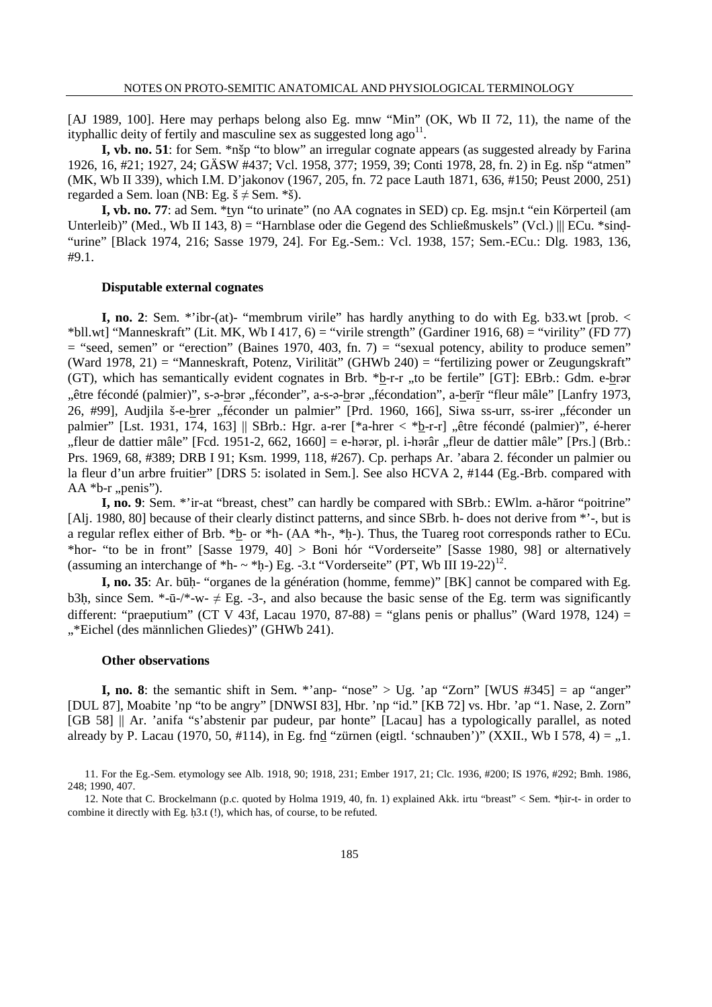[AJ 1989, 100]. Here may perhaps belong also Eg. mnw "Min" (OK, Wb II 72, 11), the name of the ityphallic deity of fertily and masculine sex as suggested long ago<sup>11</sup>.

**I, vb. no. 51**: for Sem. \*nšp "to blow" an irregular cognate appears (as suggested already by Farina 1926, 16, #21; 1927, 24; GÄSW #437; Vcl. 1958, 377; 1959, 39; Conti 1978, 28, fn. 2) in Eg. nšp "atmen" (MK, Wb II 339), which I.M. D'jakonov (1967, 205, fn. 72 pace Lauth 1871, 636, #150; Peust 2000, 251) regarded a Sem. loan (NB: Eg.  $\check{s} \neq$  Sem. \* $\check{s}$ ).

**I, vb. no. 77**: ad Sem. \**tyn* "to urinate" (no AA cognates in SED) cp. Eg. msjn.t "ein Körperteil (am Unterleib)" (Med., Wb II 143, 8) = "Harnblase oder die Gegend des Schließmuskels" (Vcl.) || ECu. \*sind-"urine" [Black 1974, 216; Sasse 1979, 24]. For Eg.-Sem.: Vcl. 1938, 157; Sem.-ECu.: Dlg. 1983, 136, #9.1.

#### **Disputable external cognates**

**I, no. 2**: Sem. \*'ibr-(at)- "membrum virile" has hardly anything to do with Eg. b33.wt [prob. < \*bll.wt] "Manneskraft" (Lit. MK, Wb I 417, 6) = "virile strength" (Gardiner 1916, 68) = "virility" (FD 77)  $=$  "seed, semen" or "erection" (Baines 1970, 403, fn. 7)  $=$  "sexual potency, ability to produce semen" (Ward 1978, 21) = "Manneskraft, Potenz, Virilität" (GHWb 240) = "fertilizing power or Zeugungskraft" (GT), which has semantically evident cognates in Brb.  $*b-r-r$ , to be fertile" [GT]: EBrb.: Gdm. e-brar "être fécondé (palmier)", s-a-brar "féconder", a-s-a-brar "fécondation", a-berīr "fleur mâle" [Lanfry 1973, 26, #99], Audjila š-e-brer "féconder un palmier" [Prd. 1960, 166], Siwa ss-urr, ss-irer "féconder un palmier" [Lst. 1931, 174, 163] || SBrb.: Hgr. a-rer [\*a-hrer < \*b-r-r] "être fécondé (palmier)", é-herer . fleur de dattier mâle" [Fcd. 1951-2, 662, 1660] = e-h $\sigma$ r, pl. i-h $\sigma$ râr . fleur de dattier mâle" [Prs.] (Brb.: Prs. 1969, 68, #389; DRB I 91; Ksm. 1999, 118, #267). Cp. perhaps Ar. 'abara 2. féconder un palmier ou la fleur d'un arbre fruitier" [DRS 5: isolated in Sem.]. See also HCVA 2, #144 (Eg.-Brb. compared with  $AA *b-r$ , penis").

**I, no. 9**: Sem. \*'ir-at "breast, chest" can hardly be compared with SBrb.: EWlm. a-hăror "poitrine" [Alj. 1980, 80] because of their clearly distinct patterns, and since SBrb. h- does not derive from \*'-, but is a regular reflex either of Brb. \*b- or \*h- ( $AA$  \*h-, \*h-). Thus, the Tuareg root corresponds rather to ECu. \*hor- "to be in front" [Sasse 1979, 40] > Boni hór "Vorderseite" [Sasse 1980, 98] or alternatively (assuming an interchange of \*h-  $\sim$  \*h-) Eg. -3.t "Vorderseite" (PT, Wb III 19-22)<sup>12</sup>.

**I, no. 35**: Ar. būú- "organes de la génération (homme, femme)" [BK] cannot be compared with Eg. b3h, since Sem.  $*-\bar{u}-\sqrt{*}-w-\neq Eg$ .  $-3$ -, and also because the basic sense of the Eg. term was significantly different: "praeputium" (CT V 43f, Lacau 1970, 87-88) = "glans penis or phallus" (Ward 1978, 124) = "\*Eichel (des männlichen Gliedes)" (GHWb 241).

## **Other observations**

**I, no. 8**: the semantic shift in Sem. \*'anp- "nose" > Ug. 'ap "Zorn" [WUS  $#345$ ] = ap "anger" [DUL 87], Moabite 'np "to be angry" [DNWSI 83], Hbr. 'np "id." [KB 72] vs. Hbr. 'ap "1. Nase, 2. Zorn" [GB 58] || Ar. 'anifa "s'abstenir par pudeur, par honte" [Lacau] has a typologically parallel, as noted already by P. Lacau (1970, 50, #114), in Eg. fnd "zürnen (eigtl. 'schnauben')" (XXII., Wb I 578, 4) =  $,1$ .

<sup>11.</sup> For the Eg.-Sem. etymology see Alb. 1918, 90; 1918, 231; Ember 1917, 21; Clc. 1936, #200; IS 1976, #292; Bmh. 1986, 248; 1990, 407.

<sup>12.</sup> Note that C. Brockelmann (p.c. quoted by Holma 1919, 40, fn. 1) explained Akk. irtu "breast" < Sem. \*úir-t- in order to combine it directly with Eg. h3.t  $(!)$ , which has, of course, to be refuted.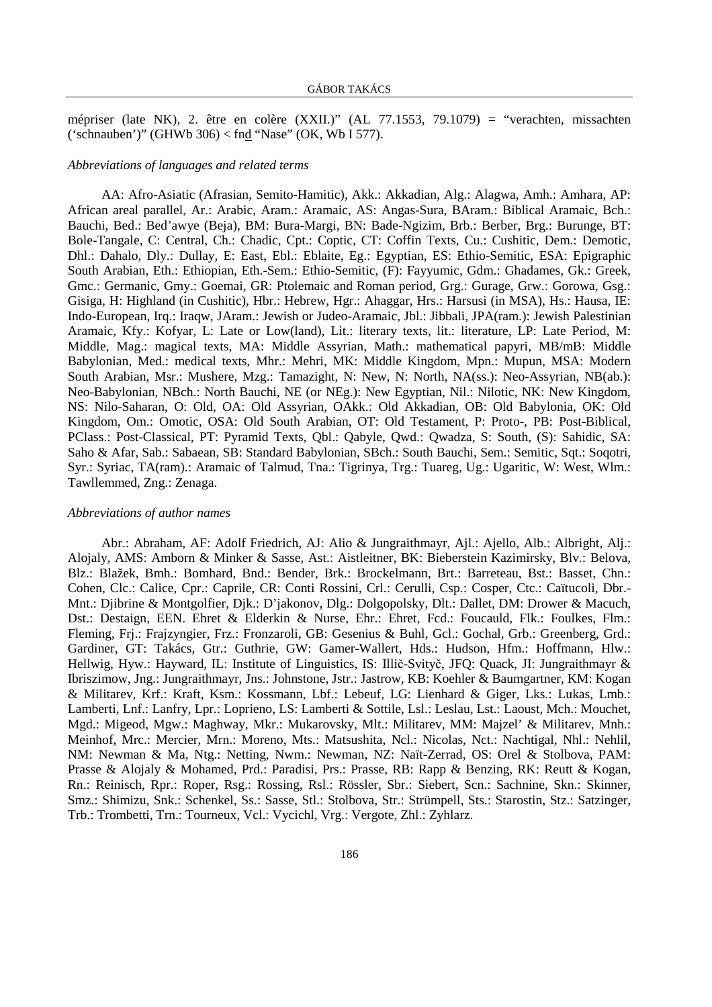mépriser (late NK), 2. être en colère (XXII.)" (AL 77.1553, 79.1079) = "verachten, missachten ('schnauben')" (GHWb 306) < fnd "Nase" (OK, Wb I 577).

### *Abbreviations of languages and related terms*

AA: Afro-Asiatic (Afrasian, Semito-Hamitic), Akk.: Akkadian, Alg.: Alagwa, Amh.: Amhara, AP: African areal parallel, Ar.: Arabic, Aram.: Aramaic, AS: Angas-Sura, BAram.: Biblical Aramaic, Bch.: Bauchi, Bed.: Bed'awye (Beja), BM: Bura-Margi, BN: Bade-Ngizim, Brb.: Berber, Brg.: Burunge, BT: Bole-Tangale, C: Central, Ch.: Chadic, Cpt.: Coptic, CT: Coffin Texts, Cu.: Cushitic, Dem.: Demotic, Dhl.: Dahalo, Dly.: Dullay, E: East, Ebl.: Eblaite, Eg.: Egyptian, ES: Ethio-Semitic, ESA: Epigraphic South Arabian, Eth.: Ethiopian, Eth.-Sem.: Ethio-Semitic, (F): Fayyumic, Gdm.: Ghadames, Gk.: Greek, Gmc.: Germanic, Gmy.: Goemai, GR: Ptolemaic and Roman period, Grg.: Gurage, Grw.: Gorowa, Gsg.: Gisiga, H: Highland (in Cushitic), Hbr.: Hebrew, Hgr.: Ahaggar, Hrs.: Harsusi (in MSA), Hs.: Hausa, IE: Indo-European, Irq.: Iraqw, JAram.: Jewish or Judeo-Aramaic, Jbl.: Jibbali, JPA(ram.): Jewish Palestinian Aramaic, Kfy.: Kofyar, L: Late or Low(land), Lit.: literary texts, lit.: literature, LP: Late Period, M: Middle, Mag.: magical texts, MA: Middle Assyrian, Math.: mathematical papyri, MB/mB: Middle Babylonian, Med.: medical texts, Mhr.: Mehri, MK: Middle Kingdom, Mpn.: Mupun, MSA: Modern South Arabian, Msr.: Mushere, Mzg.: Tamazight, N: New, N: North, NA(ss.): Neo-Assyrian, NB(ab.): Neo-Babylonian, NBch.: North Bauchi, NE (or NEg.): New Egyptian, Nil.: Nilotic, NK: New Kingdom, NS: Nilo-Saharan, O: Old, OA: Old Assyrian, OAkk.: Old Akkadian, OB: Old Babylonia, OK: Old Kingdom, Om.: Omotic, OSA: Old South Arabian, OT: Old Testament, P: Proto-, PB: Post-Biblical, PClass.: Post-Classical, PT: Pyramid Texts, Qbl.: Qabyle, Qwd.: Qwadza, S: South, (S): Sahidic, SA: Saho & Afar, Sab.: Sabaean, SB: Standard Babylonian, SBch.: South Bauchi, Sem.: Semitic, Sqt.: Soqotri, Syr.: Syriac, TA(ram).: Aramaic of Talmud, Tna.: Tigrinya, Trg.: Tuareg, Ug.: Ugaritic, W: West, Wlm.: Tawllemmed, Zng.: Zenaga.

#### *Abbreviations of author names*

Abr.: Abraham, AF: Adolf Friedrich, AJ: Alio & Jungraithmayr, Ajl.: Ajello, Alb.: Albright, Alj.: Alojaly, AMS: Amborn & Minker & Sasse, Ast.: Aistleitner, BK: Bieberstein Kazimirsky, Blv.: Belova, Blz.: Blažek, Bmh.: Bomhard, Bnd.: Bender, Brk.: Brockelmann, Brt.: Barreteau, Bst.: Basset, Chn.: Cohen, Clc.: Calice, Cpr.: Caprile, CR: Conti Rossini, Crl.: Cerulli, Csp.: Cosper, Ctc.: Caïtucoli, Dbr.- Mnt.: Djibrine & Montgolfier, Djk.: D'jakonov, Dlg.: Dolgopolsky, Dlt.: Dallet, DM: Drower & Macuch, Dst.: Destaign, EEN. Ehret & Elderkin & Nurse, Ehr.: Ehret, Fcd.: Foucauld, Flk.: Foulkes, Flm.: Fleming, Frj.: Frajzyngier, Frz.: Fronzaroli, GB: Gesenius & Buhl, Gcl.: Gochal, Grb.: Greenberg, Grd.: Gardiner, GT: Takács, Gtr.: Guthrie, GW: Gamer-Wallert, Hds.: Hudson, Hfm.: Hoffmann, Hlw.: Hellwig, Hyw.: Hayward, IL: Institute of Linguistics, IS: Illič-Svityč, JFQ: Quack, JI: Jungraithmayr & Ibriszimow, Jng.: Jungraithmayr, Jns.: Johnstone, Jstr.: Jastrow, KB: Koehler & Baumgartner, KM: Kogan & Militarev, Krf.: Kraft, Ksm.: Kossmann, Lbf.: Lebeuf, LG: Lienhard & Giger, Lks.: Lukas, Lmb.: Lamberti, Lnf.: Lanfry, Lpr.: Loprieno, LS: Lamberti & Sottile, Lsl.: Leslau, Lst.: Laoust, Mch.: Mouchet, Mgd.: Migeod, Mgw.: Maghway, Mkr.: Mukarovsky, Mlt.: Militarev, MM: Majzel' & Militarev, Mnh.: Meinhof, Mrc.: Mercier, Mrn.: Moreno, Mts.: Matsushita, Ncl.: Nicolas, Nct.: Nachtigal, Nhl.: Nehlil, NM: Newman & Ma, Ntg.: Netting, Nwm.: Newman, NZ: Naït-Zerrad, OS: Orel & Stolbova, PAM: Prasse & Alojaly & Mohamed, Prd.: Paradisi, Prs.: Prasse, RB: Rapp & Benzing, RK: Reutt & Kogan, Rn.: Reinisch, Rpr.: Roper, Rsg.: Rossing, Rsl.: Rössler, Sbr.: Siebert, Scn.: Sachnine, Skn.: Skinner, Smz.: Shimizu, Snk.: Schenkel, Ss.: Sasse, Stl.: Stolbova, Str.: Strümpell, Sts.: Starostin, Stz.: Satzinger, Trb.: Trombetti, Trn.: Tourneux, Vcl.: Vycichl, Vrg.: Vergote, Zhl.: Zyhlarz.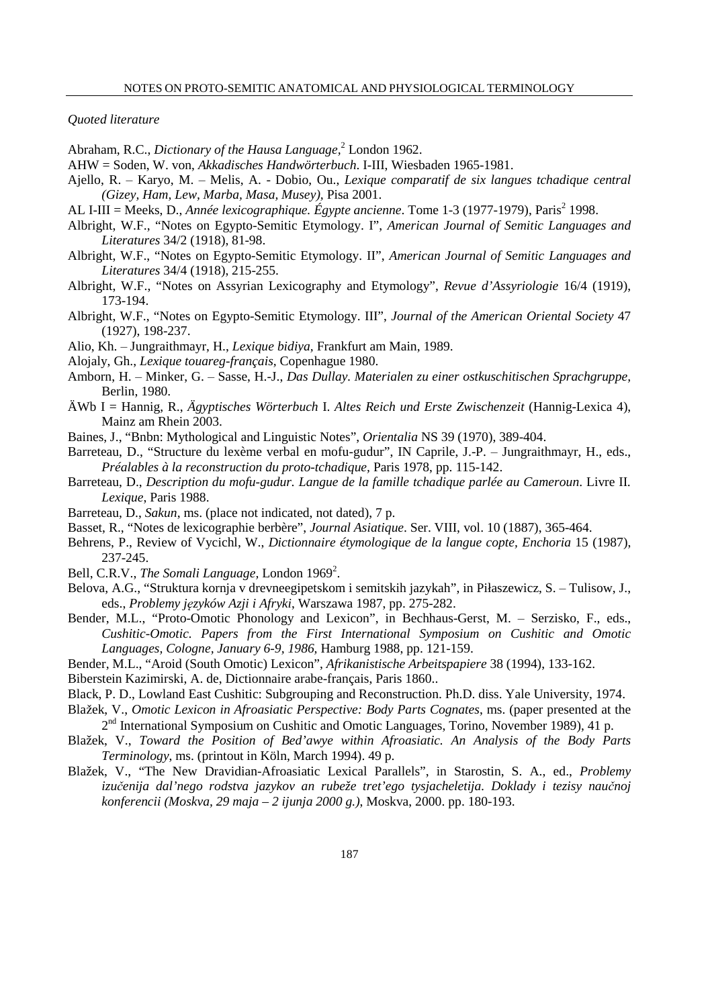*Quoted literature* 

Abraham, R.C., *Dictionary of the Hausa Language*,<sup>2</sup> London 1962.

- AHW = Soden, W. von, *Akkadisches Handwörterbuch*. I-III, Wiesbaden 1965-1981.
- Ajello, R. ‒ Karyo, M. ‒ Melis, A. Dobio, Ou., *Lexique comparatif de six langues tchadique central (Gizey, Ham, Lew, Marba, Masa, Musey),* Pisa 2001.
- AL I-III = Meeks, D., *Année lexicographique. Égypte ancienne*. Tome 1-3 (1977-1979), Paris<sup>2</sup> 1998.
- Albright, W.F., "Notes on Egypto-Semitic Etymology. I", *American Journal of Semitic Languages and Literatures* 34/2 (1918), 81-98.
- Albright, W.F., "Notes on Egypto-Semitic Etymology. II", *American Journal of Semitic Languages and Literatures* 34/4 (1918), 215-255.

Albright, W.F., "Notes on Assyrian Lexicography and Etymology", *Revue d'Assyriologie* 16/4 (1919), 173-194.

- Albright, W.F., "Notes on Egypto-Semitic Etymology. III", *Journal of the American Oriental Society* 47 (1927), 198-237.
- Alio, Kh. ‒ Jungraithmayr, H., *Lexique bidiya,* Frankfurt am Main, 1989.
- Alojaly, Gh., *Lexique touareg-français,* Copenhague 1980.
- Amborn, H. ‒ Minker, G. ‒ Sasse, H.-J., *Das Dullay. Materialen zu einer ostkuschitischen Sprachgruppe,* Berlin, 1980.
- ÄWb I = Hannig, R., *Ägyptisches Wörterbuch* I. *Altes Reich und Erste Zwischenzeit* (Hannig-Lexica 4), Mainz am Rhein 2003.
- Baines, J., "Bnbn: Mythological and Linguistic Notes", *Orientalia* NS 39 (1970), 389-404.
- Barreteau, D., "Structure du lexème verbal en mofu-gudur", IN Caprile, J.-P. ‒ Jungraithmayr, H., eds., *Préalables à la reconstruction du proto-tchadique,* Paris 1978, pp. 115-142.
- Barreteau, D., *Description du mofu-gudur. Langue de la famille tchadique parlée au Cameroun*. Livre II. *Lexique*, Paris 1988.
- Barreteau, D., *Sakun*, ms. (place not indicated, not dated), 7 p.
- Basset, R., "Notes de lexicographie berbère", *Journal Asiatique*. Ser. VIII, vol. 10 (1887), 365-464.
- Behrens, P., Review of Vycichl, W., *Dictionnaire étymologique de la langue copte, Enchoria* 15 (1987), 237-245.
- Bell, C.R.V., *The Somali Language*, London 1969<sup>2</sup>.
- Belova, A.G., "Struktura kornja v drevneegipetskom i semitskih jazykah", in Piłaszewicz, S. ‒ Tulisow, J., eds., *Problemy j*ę*zyków Azji i Afryki*, Warszawa 1987, pp. 275-282.
- Bender, M.L., "Proto-Omotic Phonology and Lexicon", in Bechhaus-Gerst, M. Serzisko, F., eds., *Cushitic-Omotic. Papers from the First International Symposium on Cushitic and Omotic Languages, Cologne, January 6-9, 1986,* Hamburg 1988, pp. 121-159.
- Bender, M.L., "Aroid (South Omotic) Lexicon", *Afrikanistische Arbeitspapiere* 38 (1994), 133-162.
- Biberstein Kazimirski, A. de, Dictionnaire arabe-français, Paris 1860..
- Black, P. D., Lowland East Cushitic: Subgrouping and Reconstruction. Ph.D. diss. Yale University, 1974.
- BlaÅek, V., *Omotic Lexicon in Afroasiatic Perspective: Body Parts Cognates*, ms. (paper presented at the 2<sup>nd</sup> International Symposium on Cushitic and Omotic Languages, Torino, November 1989), 41 p.
- Blažek, V., *Toward the Position of Bed'awye within Afroasiatic. An Analysis of the Body Parts Terminology*, ms. (printout in Köln, March 1994). 49 p.
- Blažek, V., "The New Dravidian-Afroasiatic Lexical Parallels", in Starostin, S. A., ed., *Problemy izu*č*enija dal'nego rodstva jazykov an rubeže tret'ego tysjacheletija. Doklady i tezisy nau*č*noj konferencii (Moskva, 29 maja – 2 ijunja 2000 g.)*, Moskva, 2000. pp. 180-193.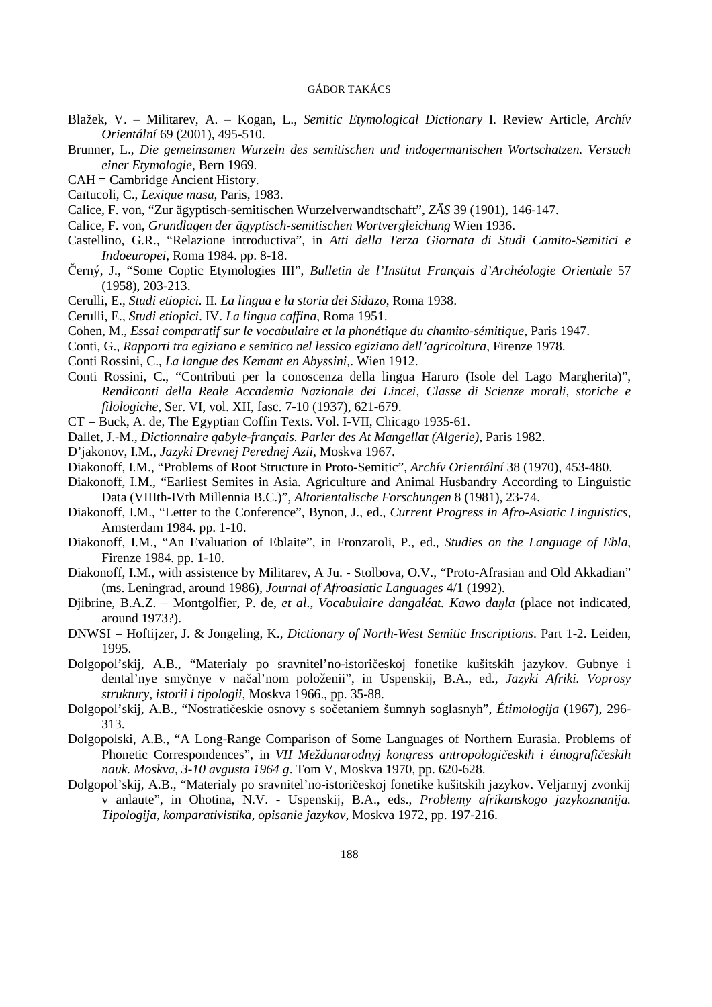- Blažek, V. ‒ Militarev, A. ‒ Kogan, L., *Semitic Etymological Dictionary* I. Review Article, *Archív Orientální* 69 (2001), 495-510.
- Brunner, L., *Die gemeinsamen Wurzeln des semitischen und indogermanischen Wortschatzen. Versuch einer Etymologie*, Bern 1969.
- CAH = Cambridge Ancient History.
- Caïtucoli, C., *Lexique masa*, Paris, 1983.
- Calice, F. von, "Zur ägyptisch-semitischen Wurzelverwandtschaft", *ZÄS* 39 (1901), 146-147.
- Calice, F. von, *Grundlagen der ägyptisch-semitischen Wortvergleichung* Wien 1936.
- Castellino, G.R., "Relazione introductiva", in *Atti della Terza Giornata di Studi Camito-Semitici e Indoeuropei*, Roma 1984. pp. 8-18.
- Černý, J., "Some Coptic Etymologies III", *Bulletin de l'Institut Français d'Archéologie Orientale* 57 (1958), 203-213.
- Cerulli, E., *Studi etiopici.* II. *La lingua e la storia dei Sidazo*, Roma 1938.
- Cerulli, E., *Studi etiopici*. IV. *La lingua caffina*, Roma 1951.
- Cohen, M., *Essai comparatif sur le vocabulaire et la phonétique du chamito-sémitique*, Paris 1947.
- Conti, G., *Rapporti tra egiziano e semitico nel lessico egiziano dell'agricoltura*, Firenze 1978.
- Conti Rossini, C., *La langue des Kemant en Abyssini,*. Wien 1912.
- Conti Rossini, C., "Contributi per la conoscenza della lingua Haruro (Isole del Lago Margherita)", *Rendiconti della Reale Accademia Nazionale dei Lincei, Classe di Scienze morali, storiche e filologiche*, Ser. VI, vol. XII, fasc. 7-10 (1937), 621-679.
- CT = Buck, A. de, The Egyptian Coffin Texts. Vol. I-VII, Chicago 1935-61.
- Dallet, J.-M., *Dictionnaire qabyle-français. Parler des At Mangellat (Algerie)*, Paris 1982.
- D'jakonov, I.M., *Jazyki Drevnej Perednej Azii*, Moskva 1967.
- Diakonoff, I.M., "Problems of Root Structure in Proto-Semitic", *Archív Orientální* 38 (1970), 453-480.
- Diakonoff, I.M., "Earliest Semites in Asia. Agriculture and Animal Husbandry According to Linguistic Data (VIIIth-IVth Millennia B.C.)", *Altorientalische Forschungen* 8 (1981), 23-74.
- Diakonoff, I.M., "Letter to the Conference", Bynon, J., ed., *Current Progress in Afro-Asiatic Linguistics,* Amsterdam 1984. pp. 1-10.
- Diakonoff, I.M., "An Evaluation of Eblaite", in Fronzaroli, P., ed., *Studies on the Language of Ebla*, Firenze 1984. pp. 1-10.
- Diakonoff, I.M., with assistence by Militarev, A Ju. Stolbova, O.V., "Proto-Afrasian and Old Akkadian" (ms. Leningrad, around 1986), *Journal of Afroasiatic Languages* 4/1 (1992).
- Djibrine, B.A.Z. ‒ Montgolfier, P. de, *et al*., *Vocabulaire dangaléat. Kawo da*ŋ*la* (place not indicated, around 1973?).
- DNWSI = Hoftijzer, J. & Jongeling, K., *Dictionary of North-West Semitic Inscriptions*. Part 1-2. Leiden, 1995.
- Dolgopol'skij, A.B., "Materialy po sravnitel'no-istoričeskoj fonetike kušitskih jazykov. Gubnye i dental'nye smyčnye v načal'nom položenii", in Uspenskij, B.A., ed., *Jazyki Afriki. Voprosy struktury, istorii i tipologii*, Moskva 1966., pp. 35-88.
- Dolgopol'skij, A.B., "Nostratičeskie osnovy s sočetaniem šumnyh soglasnyh", *Étimologija* (1967), 296- 313.
- Dolgopolski, A.B., "A Long-Range Comparison of Some Languages of Northern Eurasia. Problems of Phonetic Correspondences", in *VII Meždunarodnyj kongress antropologi*č*eskih i étnografi*č*eskih nauk. Moskva, 3-10 avgusta 1964 g*. Tom V, Moskva 1970, pp. 620-628.
- Dolgopol'skij, A.B., "Materialy po sravnitel'no-istoričeskoj fonetike kušitskih jazykov. Veljarnyj zvonkij v anlaute", in Ohotina, N.V. - Uspenskij, B.A., eds., *Problemy afrikanskogo jazykoznanija. Tipologija, komparativistika, opisanie jazykov*, Moskva 1972, pp. 197-216.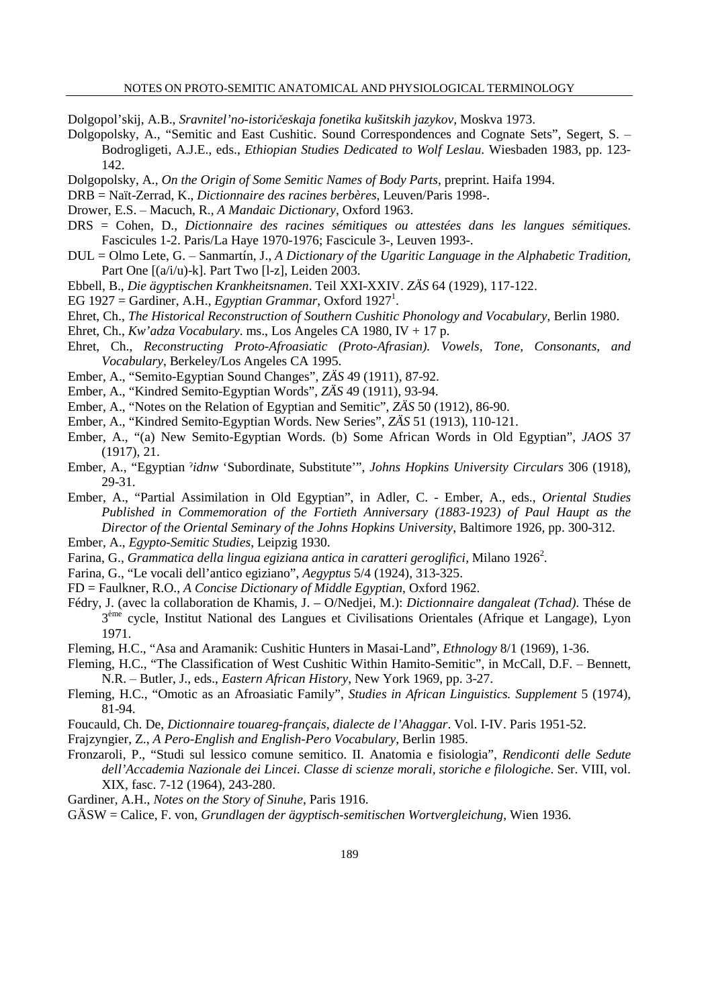Dolgopol'skij, A.B., *Sravnitel'no-istori*č*eskaja fonetika kušitskih jazykov,* Moskva 1973.

- Dolgopolsky, A., "Semitic and East Cushitic. Sound Correspondences and Cognate Sets", Segert, S. Bodrogligeti, A.J.E., eds., *Ethiopian Studies Dedicated to Wolf Leslau*. Wiesbaden 1983, pp. 123- 142.
- Dolgopolsky, A., *On the Origin of Some Semitic Names of Body Parts*, preprint. Haifa 1994.
- DRB = Naït-Zerrad, K., *Dictionnaire des racines berbères*, Leuven/Paris 1998-.
- Drower, E.S. ‒ Macuch, R., *A Mandaic Dictionary*, Oxford 1963.
- DRS = Cohen, D., *Dictionnaire des racines sémitiques ou attestées dans les langues sémitiques*. Fascicules 1-2. Paris/La Haye 1970-1976; Fascicule 3-, Leuven 1993-.
- DUL = Olmo Lete, G. ‒ Sanmartín, J., *A Dictionary of the Ugaritic Language in the Alphabetic Tradition,* Part One [(a/i/u)-k]. Part Two [l-z], Leiden 2003.
- Ebbell, B., *Die ägyptischen Krankheitsnamen*. Teil XXI-XXIV. *ZÄS* 64 (1929), 117-122.
- EG 1927 = Gardiner, A.H., *Egyptian Grammar*, Oxford 1927<sup>1</sup>.
- Ehret, Ch., *The Historical Reconstruction of Southern Cushitic Phonology and Vocabulary*, Berlin 1980.
- Ehret, Ch., *Kw'adza Vocabulary*. ms., Los Angeles CA 1980, IV + 17 p.
- Ehret, Ch., *Reconstructing Proto-Afroasiatic (Proto-Afrasian). Vowels, Tone, Consonants, and Vocabulary*, Berkeley/Los Angeles CA 1995.
- Ember, A., "Semito-Egyptian Sound Changes", *ZÄS* 49 (1911), 87-92.
- Ember, A., "Kindred Semito-Egyptian Words", *ZÄS* 49 (1911), 93-94.
- Ember, A., "Notes on the Relation of Egyptian and Semitic", *ZÄS* 50 (1912), 86-90.
- Ember, A., "Kindred Semito-Egyptian Words. New Series", *ZÄS* 51 (1913), 110-121.
- Ember, A., "(a) New Semito-Egyptian Words. (b) Some African Words in Old Egyptian", *JAOS* 37 (1917), 21.
- Ember, A., "Egyptian ˀ*idnw* 'Subordinate, Substitute'", *Johns Hopkins University Circulars* 306 (1918), 29-31.
- Ember, A., "Partial Assimilation in Old Egyptian", in Adler, C. Ember, A., eds., *Oriental Studies Published in Commemoration of the Fortieth Anniversary (1883-1923) of Paul Haupt as the Director of the Oriental Seminary of the Johns Hopkins University*, Baltimore 1926, pp. 300-312.
- Ember, A., *Egypto-Semitic Studies*, Leipzig 1930.
- Farina, G., *Grammatica della lingua egiziana antica in caratteri geroglifici*, Milano 1926<sup>2</sup>.
- Farina, G., "Le vocali dell'antico egiziano", *Aegyptus* 5/4 (1924), 313-325.
- FD = Faulkner, R.O., *A Concise Dictionary of Middle Egyptian*, Oxford 1962.
- Fédry, J. (avec la collaboration de Khamis, J. O/Nedjei, M.): *Dictionnaire dangaleat (Tchad)*. Thése de 3<sup>ème</sup> cycle, Institut National des Langues et Civilisations Orientales (Afrique et Langage), Lyon 1971.
- Fleming, H.C., "Asa and Aramanik: Cushitic Hunters in Masai-Land", *Ethnology* 8/1 (1969), 1-36.
- Fleming, H.C., "The Classification of West Cushitic Within Hamito-Semitic", in McCall, D.F. ‒ Bennett, N.R. ‒ Butler, J., eds., *Eastern African History*, New York 1969, pp. 3-27.
- Fleming, H.C., "Omotic as an Afroasiatic Family", *Studies in African Linguistics. Supplement* 5 (1974), 81-94.
- Foucauld, Ch. De, *Dictionnaire touareg-français, dialecte de l'Ahaggar*. Vol. I-IV. Paris 1951-52.
- Frajzyngier, Z., *A Pero-English and English-Pero Vocabulary*, Berlin 1985.
- Fronzaroli, P., "Studi sul lessico comune semitico. II. Anatomia e fisiologia", *Rendiconti delle Sedute dell'Accademia Nazionale dei Lincei. Classe di scienze morali, storiche e filologiche*. Ser. VIII, vol. XIX, fasc. 7-12 (1964), 243-280.
- Gardiner, A.H., *Notes on the Story of Sinuhe*, Paris 1916.
- GÄSW = Calice, F. von, *Grundlagen der ägyptisch-semitischen Wortvergleichung*, Wien 1936.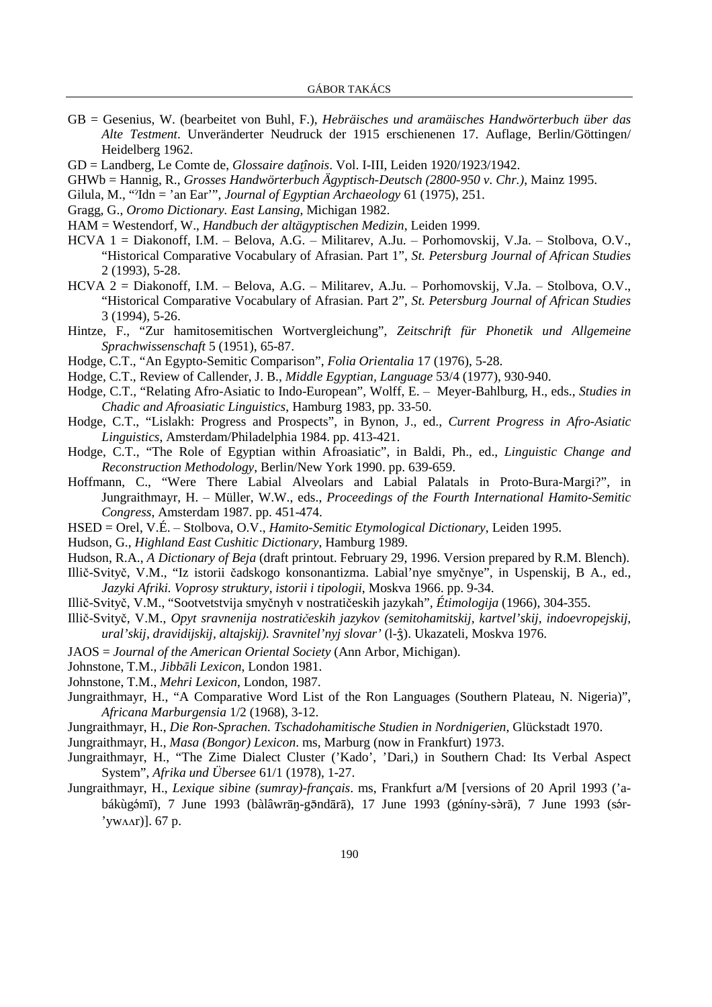- GB = Gesenius, W. (bearbeitet von Buhl, F.), *Hebräisches und aramäisches Handwörterbuch über das Alte Testment*. Unveränderter Neudruck der 1915 erschienenen 17. Auflage, Berlin/Göttingen/ Heidelberg 1962.
- GD = Landberg, Le Comte de, *Glossaire datînois*. Vol. I-III, Leiden 1920/1923/1942.
- GHWb = Hannig, R., *Grosses Handwörterbuch Ägyptisch-Deutsch (2800-950 v. Chr.)*, Mainz 1995.
- Gilula, M., "ˀIdn = 'an Ear'", *Journal of Egyptian Archaeology* 61 (1975), 251.
- Gragg, G., *Oromo Dictionary. East Lansing,* Michigan 1982.
- HAM = Westendorf, W., *Handbuch der altägyptischen Medizin*, Leiden 1999.
- HCVA 1 = Diakonoff, I.M. ‒ Belova, A.G. ‒ Militarev, A.Ju. ‒ Porhomovskij, V.Ja. ‒ Stolbova, O.V., "Historical Comparative Vocabulary of Afrasian. Part 1", *St. Petersburg Journal of African Studies* 2 (1993), 5-28.
- HCVA 2 = Diakonoff, I.M. ‒ Belova, A.G. ‒ Militarev, A.Ju. ‒ Porhomovskij, V.Ja. ‒ Stolbova, O.V., "Historical Comparative Vocabulary of Afrasian. Part 2", *St. Petersburg Journal of African Studies* 3 (1994), 5-26.
- Hintze, F., "Zur hamitosemitischen Wortvergleichung", *Zeitschrift für Phonetik und Allgemeine Sprachwissenschaft* 5 (1951), 65-87.
- Hodge, C.T., "An Egypto-Semitic Comparison", *Folia Orientalia* 17 (1976), 5-28.
- Hodge, C.T., Review of Callender, J. B., *Middle Egyptian, Language* 53/4 (1977), 930-940.
- Hodge, C.T., "Relating Afro-Asiatic to Indo-European", Wolff, E. ‒ Meyer-Bahlburg, H., eds., *Studies in Chadic and Afroasiatic Linguistics*, Hamburg 1983, pp. 33-50.
- Hodge, C.T., "Lislakh: Progress and Prospects", in Bynon, J., ed., *Current Progress in Afro-Asiatic Linguistics*, Amsterdam/Philadelphia 1984. pp. 413-421.
- Hodge, C.T., "The Role of Egyptian within Afroasiatic", in Baldi, Ph., ed., *Linguistic Change and Reconstruction Methodology*, Berlin/New York 1990. pp. 639-659.
- Hoffmann, C., "Were There Labial Alveolars and Labial Palatals in Proto-Bura-Margi?", in Jungraithmayr, H. ‒ Müller, W.W., eds., *Proceedings of the Fourth International Hamito-Semitic Congress*, Amsterdam 1987. pp. 451-474.
- HSED = Orel, V.É. ‒ Stolbova, O.V., *Hamito-Semitic Etymological Dictionary*, Leiden 1995.
- Hudson, G., *Highland East Cushitic Dictionary*, Hamburg 1989.
- Hudson, R.A., *A Dictionary of Beja* (draft printout. February 29, 1996. Version prepared by R.M. Blench).
- Illič-Svityč, V.M., "Iz istorii čadskogo konsonantizma. Labial'nye smyčnye", in Uspenskij, B A., ed., *Jazyki Afriki. Voprosy struktury, istorii i tipologii*, Moskva 1966. pp. 9-34.
- Illič-Svityč, V.M., "Sootvetstvija smyčnyh v nostratičeskih jazykah", *Étimologija* (1966), 304-355.
- Illič-Svityč, V.M., *Opyt sravnenija nostrati*č*eskih jazykov (semitohamitskij, kartvel'skij, indoevropejskij,*  ural'skij, dravidijskij, altajskij). Sravnitel'nyj slovar' (1- $\hat{z}$ ). Ukazateli, Moskva 1976.
- JAOS = *Journal of the American Oriental Society* (Ann Arbor, Michigan).
- Johnstone, T.M., *Jibb*ā*li Lexicon*, London 1981.
- Johnstone, T.M., *Mehri Lexicon*, London, 1987.
- Jungraithmayr, H., "A Comparative Word List of the Ron Languages (Southern Plateau, N. Nigeria)", *Africana Marburgensia* 1/2 (1968), 3-12.
- Jungraithmayr, H., *Die Ron-Sprachen. Tschadohamitische Studien in Nordnigerien*, Glückstadt 1970.
- Jungraithmayr, H., *Masa (Bongor) Lexicon*. ms, Marburg (now in Frankfurt) 1973.
- Jungraithmayr, H., "The Zime Dialect Cluster ('Kado', 'Dari,) in Southern Chad: Its Verbal Aspect System", *Afrika und Übersee* 61/1 (1978), 1-27.
- Jungraithmayr, H., *Lexique sibine (sumray)-français*. ms, Frankfurt a/M [versions of 20 April 1993 ('abákùgémī), 7 June 1993 (bàlâwrān-gēndārā), 17 June 1993 (géníny-sèrā), 7 June 1993 (sér- $'$ yw $\Delta$ ar)]. 67 p.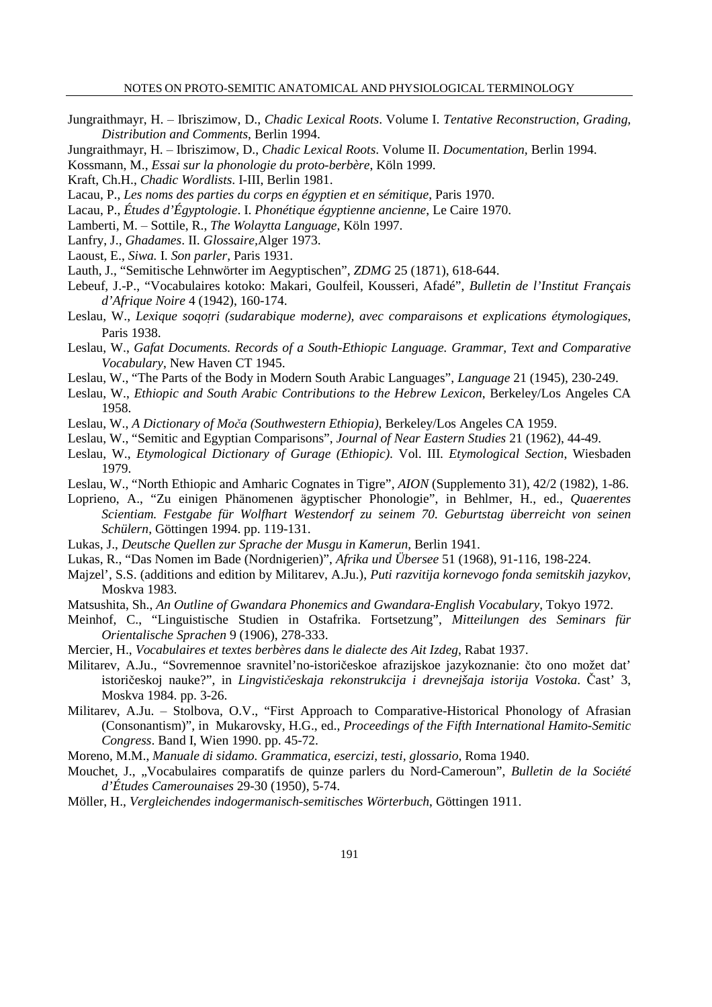- Jungraithmayr, H. ‒ Ibriszimow, D., *Chadic Lexical Roots*. Volume I. *Tentative Reconstruction, Grading, Distribution and Comments*, Berlin 1994.
- Jungraithmayr, H. ‒ Ibriszimow, D., *Chadic Lexical Roots*. Volume II. *Documentation,* Berlin 1994.
- Kossmann, M., *Essai sur la phonologie du proto-berbère*, Köln 1999.
- Kraft, Ch.H., *Chadic Wordlists*. I-III, Berlin 1981.
- Lacau, P., *Les noms des parties du corps en égyptien et en sémitique*, Paris 1970.
- Lacau, P., *Études d'Égyptologie*. I. *Phonétique égyptienne ancienne*, Le Caire 1970.
- Lamberti, M. ‒ Sottile, R., *The Wolaytta Language*, Köln 1997.
- Lanfry, J., *Ghadames*. II. *Glossaire,*Alger 1973.
- Laoust, E., *Siwa.* I. *Son parler*, Paris 1931.
- Lauth, J., "Semitische Lehnwörter im Aegyptischen", *ZDMG* 25 (1871), 618-644.
- Lebeuf, J.-P., "Vocabulaires kotoko: Makari, Goulfeil, Kousseri, Afadé", *Bulletin de l'Institut Français d'Afrique Noire* 4 (1942), 160-174.
- Leslau, W., *Lexique soqotri (sudarabique moderne), avec comparaisons et explications étymologiques*, Paris 1938.
- Leslau, W., *Gafat Documents. Records of a South-Ethiopic Language. Grammar, Text and Comparative Vocabulary*, New Haven CT 1945.
- Leslau, W., "The Parts of the Body in Modern South Arabic Languages", *Language* 21 (1945), 230-249.
- Leslau, W., *Ethiopic and South Arabic Contributions to the Hebrew Lexicon*, Berkeley/Los Angeles CA 1958.
- Leslau, W., *A Dictionary of Mo*č*a (Southwestern Ethiopia)*, Berkeley/Los Angeles CA 1959.
- Leslau, W., "Semitic and Egyptian Comparisons", *Journal of Near Eastern Studies* 21 (1962), 44-49.
- Leslau, W., *Etymological Dictionary of Gurage (Ethiopic)*. Vol. III. *Etymological Section*, Wiesbaden 1979.
- Leslau, W., "North Ethiopic and Amharic Cognates in Tigre", *AION* (Supplemento 31), 42/2 (1982), 1-86.
- Loprieno, A., "Zu einigen Phänomenen ägyptischer Phonologie", in Behlmer, H., ed., *Quaerentes Scientiam. Festgabe für Wolfhart Westendorf zu seinem 70. Geburtstag überreicht von seinen Schülern*, Göttingen 1994. pp. 119-131.
- Lukas, J., *Deutsche Quellen zur Sprache der Musgu in Kamerun*, Berlin 1941.
- Lukas, R., "Das Nomen im Bade (Nordnigerien)", *Afrika und Übersee* 51 (1968), 91-116, 198-224.
- Majzel', S.S. (additions and edition by Militarev, A.Ju.), *Puti razvitija kornevogo fonda semitskih jazykov*, Moskva 1983.
- Matsushita, Sh., *An Outline of Gwandara Phonemics and Gwandara-English Vocabulary*, Tokyo 1972.
- Meinhof, C., "Linguistische Studien in Ostafrika. Fortsetzung", *Mitteilungen des Seminars für Orientalische Sprachen* 9 (1906), 278-333.
- Mercier, H., *Vocabulaires et textes berbères dans le dialecte des Ait Izdeg*, Rabat 1937.
- Militarev, A.Ju., "Sovremennoe sravnitel'no-istoričeskoe afrazijskoe jazykoznanie: čto ono možet dat' istoričeskoj nauke?", in *Lingvisti*č*eskaja rekonstrukcija i drevnejšaja istorija Vostoka*. Čast' 3, Moskva 1984. pp. 3-26.
- Militarev, A.Ju. ‒ Stolbova, O.V., "First Approach to Comparative-Historical Phonology of Afrasian (Consonantism)", in Mukarovsky, H.G., ed., *Proceedings of the Fifth International Hamito-Semitic Congress*. Band I, Wien 1990. pp. 45-72.
- Moreno, M.M., *Manuale di sidamo. Grammatica, esercizi, testi, glossario*, Roma 1940.
- Mouchet, J., "Vocabulaires comparatifs de quinze parlers du Nord-Cameroun", *Bulletin de la Société d'Études Camerounaises* 29-30 (1950), 5-74.
- Möller, H., *Vergleichendes indogermanisch-semitisches Wörterbuch*, Göttingen 1911.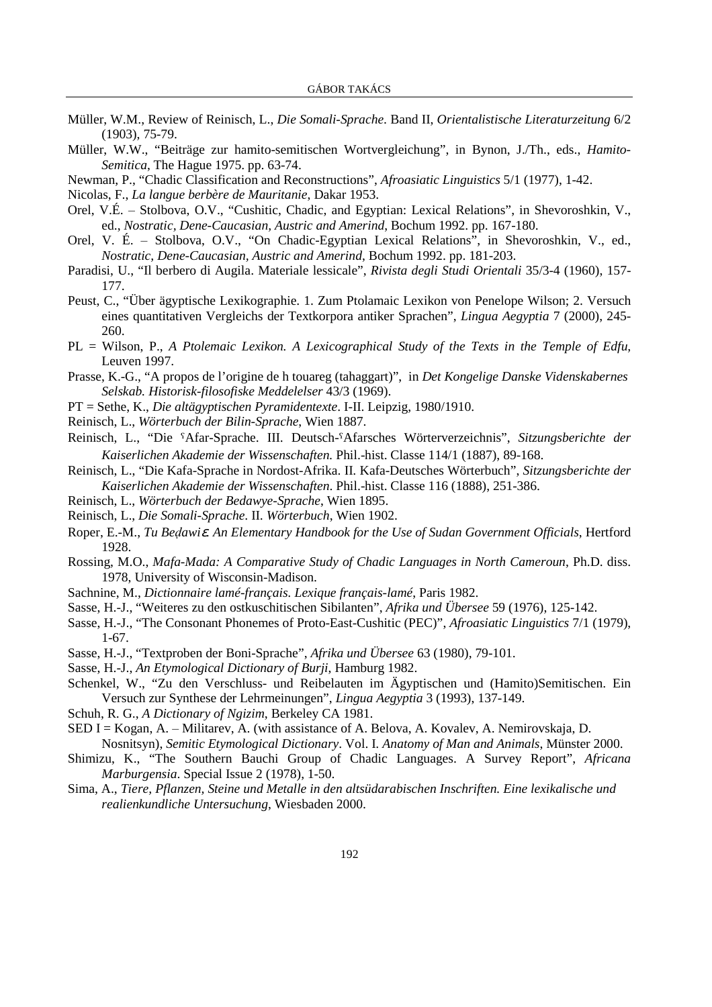- Müller, W.M., Review of Reinisch, L., *Die Somali-Sprache*. Band II, *Orientalistische Literaturzeitung* 6/2 (1903), 75-79.
- Müller, W.W., "Beiträge zur hamito-semitischen Wortvergleichung", in Bynon, J./Th., eds., *Hamito-Semitica*, The Hague 1975. pp. 63-74.
- Newman, P., "Chadic Classification and Reconstructions", *Afroasiatic Linguistics* 5/1 (1977), 1-42.
- Nicolas, F., *La langue berbère de Mauritanie*, Dakar 1953.
- Orel, V.É. ‒ Stolbova, O.V., "Cushitic, Chadic, and Egyptian: Lexical Relations", in Shevoroshkin, V., ed., *Nostratic, Dene-Caucasian, Austric and Amerind*, Bochum 1992. pp. 167-180.
- Orel, V. É. ‒ Stolbova, O.V., "On Chadic-Egyptian Lexical Relations", in Shevoroshkin, V., ed., *Nostratic, Dene-Caucasian, Austric and Amerind*, Bochum 1992. pp. 181-203.
- Paradisi, U., "Il berbero di Augila. Materiale lessicale", *Rivista degli Studi Orientali* 35/3-4 (1960), 157- 177.
- Peust, C., "Über ägyptische Lexikographie. 1. Zum Ptolamaic Lexikon von Penelope Wilson; 2. Versuch eines quantitativen Vergleichs der Textkorpora antiker Sprachen", *Lingua Aegyptia* 7 (2000), 245- 260.
- PL = Wilson, P., *A Ptolemaic Lexikon. A Lexicographical Study of the Texts in the Temple of Edfu,* Leuven 1997.
- Prasse, K.-G., "A propos de l'origine de h touareg (tahaggart)", in *Det Kongelige Danske Videnskabernes Selskab. Historisk-filosofiske Meddelelser* 43/3 (1969).
- PT = Sethe, K., *Die altägyptischen Pyramidentexte*. I-II. Leipzig, 1980/1910.
- Reinisch, L., *Wörterbuch der Bilin-Sprache*, Wien 1887.
- Reinisch, L., "Die Afar-Sprache. III. Deutsch-Afarsches Wörterverzeichnis", *Sitzungsberichte der Kaiserlichen Akademie der Wissenschaften.* Phil.-hist. Classe 114/1 (1887), 89-168.
- Reinisch, L., "Die Kafa-Sprache in Nordost-Afrika. II. Kafa-Deutsches Wörterbuch", *Sitzungsberichte der Kaiserlichen Akademie der Wissenschaften*. Phil.-hist. Classe 116 (1888), 251-386.
- Reinisch, L., *Wörterbuch der Bedawye-Sprache*, Wien 1895.
- Reinisch, L., *Die Somali-Sprache*. II. *Wörterbuch*, Wien 1902.
- Roper, E.-M., *Tu Be*ḍ*awi*ε*. An Elementary Handbook for the Use of Sudan Government Officials*, Hertford 1928.
- Rossing, M.O., *Mafa-Mada: A Comparative Study of Chadic Languages in North Cameroun*, Ph.D. diss. 1978, University of Wisconsin-Madison.
- Sachnine, M., *Dictionnaire lamé-français. Lexique français-lamé*, Paris 1982.
- Sasse, H.-J., "Weiteres zu den ostkuschitischen Sibilanten", *Afrika und Übersee* 59 (1976), 125-142.
- Sasse, H.-J., "The Consonant Phonemes of Proto-East-Cushitic (PEC)", *Afroasiatic Linguistics* 7/1 (1979), 1-67.
- Sasse, H.-J., "Textproben der Boni-Sprache", *Afrika und Übersee* 63 (1980), 79-101.
- Sasse, H.-J., *An Etymological Dictionary of Burji*, Hamburg 1982.
- Schenkel, W., "Zu den Verschluss- und Reibelauten im Ägyptischen und (Hamito)Semitischen. Ein Versuch zur Synthese der Lehrmeinungen", *Lingua Aegyptia* 3 (1993), 137-149.
- Schuh, R. G., *A Dictionary of Ngizim*, Berkeley CA 1981.
- $\text{SED I} = \text{Kogan}$ , A.  $-\text{Militarev}$ , A. (with assistance of A. Belova, A. Kovalev, A. Nemirovskaja, D.

Nosnitsyn), *Semitic Etymological Dictionary*. Vol. I. *Anatomy of Man and Animals*, Münster 2000.

- Shimizu, K., "The Southern Bauchi Group of Chadic Languages. A Survey Report", *Africana Marburgensia*. Special Issue 2 (1978), 1-50.
- Sima, A., *Tiere, Pflanzen, Steine und Metalle in den altsüdarabischen Inschriften. Eine lexikalische und realienkundliche Untersuchung*, Wiesbaden 2000.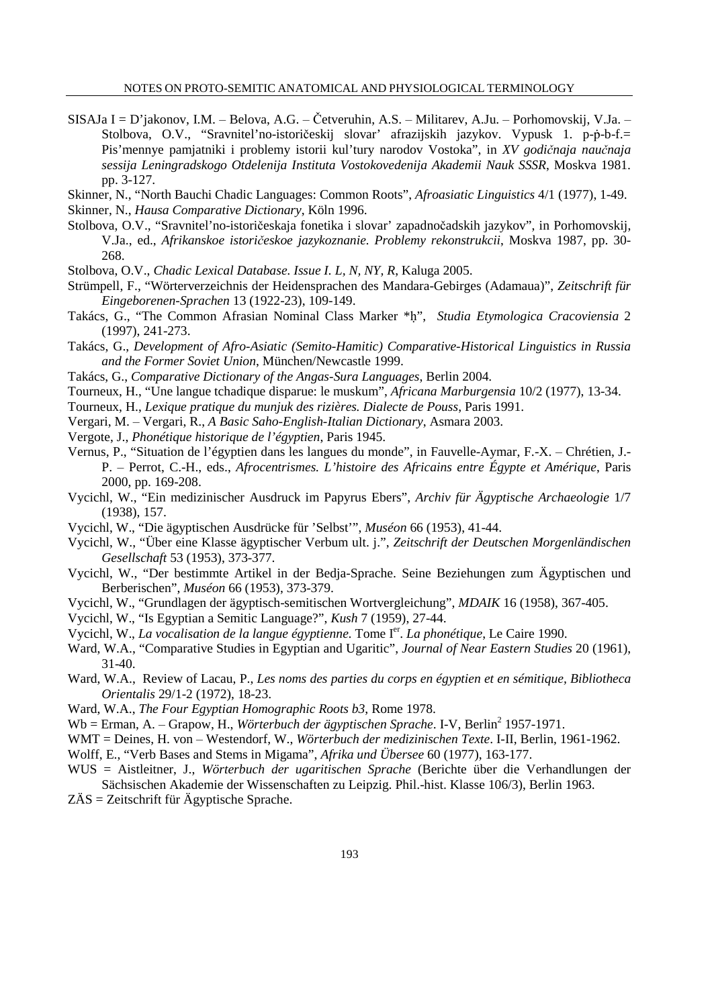SISAJa I = D'jakonov, I.M. ‒ Belova, A.G. ‒ Četveruhin, A.S. ‒ Militarev, A.Ju. ‒ Porhomovskij, V.Ja. ‒ Stolbova, O.V., "Sravnitel'no-istoričeskij slovar' afrazijskih jazykov. Vypusk 1. p-ṗ-b-f.= Pis'mennye pamjatniki i problemy istorii kul'tury narodov Vostoka", in *XV godi*č*naja nau*č*naja sessija Leningradskogo Otdelenija Instituta Vostokovedenija Akademii Nauk SSSR*, Moskva 1981. pp. 3-127.

Skinner, N., "North Bauchi Chadic Languages: Common Roots", *Afroasiatic Linguistics* 4/1 (1977), 1-49.

Skinner, N., *Hausa Comparative Dictionary*, Köln 1996.

Stolbova, O.V., "Sravnitel'no-istoričeskaja fonetika i slovar' zapadnočadskih jazykov", in Porhomovskij, V.Ja., ed., *Afrikanskoe istori*č*eskoe jazykoznanie. Problemy rekonstrukcii*, Moskva 1987, pp. 30- 268.

Stolbova, O.V., *Chadic Lexical Database. Issue I. L, N, NY, R*, Kaluga 2005.

- Strümpell, F., "Wörterverzeichnis der Heidensprachen des Mandara-Gebirges (Adamaua)", *Zeitschrift für Eingeborenen-Sprachen* 13 (1922-23), 109-149.
- Takács, G., "The Common Afrasian Nominal Class Marker \*ḥ", *Studia Etymologica Cracoviensia* 2 (1997), 241-273.

Takács, G., *Development of Afro-Asiatic (Semito-Hamitic) Comparative-Historical Linguistics in Russia and the Former Soviet Union*, München/Newcastle 1999.

Takács, G., *Comparative Dictionary of the Angas-Sura Languages*, Berlin 2004.

Tourneux, H., "Une langue tchadique disparue: le muskum", *Africana Marburgensia* 10/2 (1977), 13-34.

Tourneux, H., *Lexique pratique du munjuk des rizières. Dialecte de Pouss*, Paris 1991.

Vergari, M. ‒ Vergari, R., *A Basic Saho-English-Italian Dictionary*, Asmara 2003.

- Vergote, J., *Phonétique historique de l'égyptien*, Paris 1945.
- Vernus, P., "Situation de l'égyptien dans les langues du monde", in Fauvelle-Aymar, F.-X. ‒ Chrétien, J.- P. ‒ Perrot, C.-H., eds., *Afrocentrismes. L'histoire des Africains entre Égypte et Amérique*, Paris 2000, pp. 169-208.
- Vycichl, W., "Ein medizinischer Ausdruck im Papyrus Ebers", *Archiv für Ägyptische Archaeologie* 1/7 (1938), 157.
- Vycichl, W., "Die ägyptischen Ausdrücke für 'Selbst'", *Muséon* 66 (1953), 41-44.
- Vycichl, W., "Über eine Klasse ägyptischer Verbum ult. j.", *Zeitschrift der Deutschen Morgenländischen Gesellschaft* 53 (1953), 373-377.
- Vycichl, W., "Der bestimmte Artikel in der Bedja-Sprache. Seine Beziehungen zum Ägyptischen und Berberischen", *Muséon* 66 (1953), 373-379.
- Vycichl, W., "Grundlagen der ägyptisch-semitischen Wortvergleichung", *MDAIK* 16 (1958), 367-405.
- Vycichl, W., "Is Egyptian a Semitic Language?", *Kush* 7 (1959), 27-44.
- Vycichl, W., *La vocalisation de la langue égyptienne*. Tome I<sup>er</sup>. La phonétique, Le Caire 1990.
- Ward, W.A., "Comparative Studies in Egyptian and Ugaritic", *Journal of Near Eastern Studies* 20 (1961), 31-40.
- Ward, W.A., Review of Lacau, P., *Les noms des parties du corps en égyptien et en sémitique, Bibliotheca Orientalis* 29/1-2 (1972), 18-23.
- Ward, W.A., *The Four Egyptian Homographic Roots b3*, Rome 1978.
- Wb = Erman, A. Grapow, H., *Wörterbuch der ägyptischen Sprache*. I-V, Berlin<sup>2</sup> 1957-1971.
- WMT = Deines, H. von Westendorf, W., *Wörterbuch der medizinischen Texte*. I-II, Berlin, 1961-1962.
- Wolff, E., "Verb Bases and Stems in Migama", *Afrika und Übersee* 60 (1977), 163-177.
- WUS = Aistleitner, J., *Wörterbuch der ugaritischen Sprache* (Berichte über die Verhandlungen der Sächsischen Akademie der Wissenschaften zu Leipzig. Phil.-hist. Klasse 106/3), Berlin 1963.

ZÄS = Zeitschrift für Ägyptische Sprache.